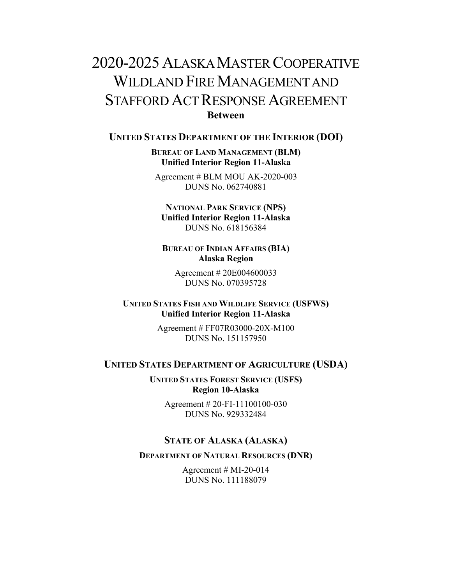# 2020-2025 ALASKA MASTER COOPERATIVE WILDLAND FIRE MANAGEMENT AND STAFFORD ACT RESPONSE AGREEMENT **Between**

## **UNITED STATES DEPARTMENT OF THE INTERIOR (DOI)**

**BUREAU OF LAND MANAGEMENT (BLM) Unified Interior Region 11-Alaska** 

Agreement # BLM MOU AK-2020-003 DUNS No. 062740881

#### **NATIONAL PARK SERVICE (NPS) Unified Interior Region 11-Alaska**  DUNS No. 618156384

## **BUREAU OF INDIAN AFFAIRS (BIA) Alaska Region**

Agreement # 20E004600033 DUNS No. 070395728

#### **UNITED STATES FISH AND WILDLIFE SERVICE (USFWS) Unified Interior Region 11-Alaska**

Agreement # FF07R03000-20X-M100 DUNS No. 151157950

#### **UNITED STATES DEPARTMENT OF AGRICULTURE (USDA)**

**UNITED STATES FOREST SERVICE (USFS) Region 10-Alaska** 

Agreement # 20-FI-11100100-030 DUNS No. 929332484

# **STATE OF ALASKA (ALASKA)**

#### **DEPARTMENT OF NATURAL RESOURCES (DNR)**

Agreement  $#$  MI-20-014 DUNS No. 111188079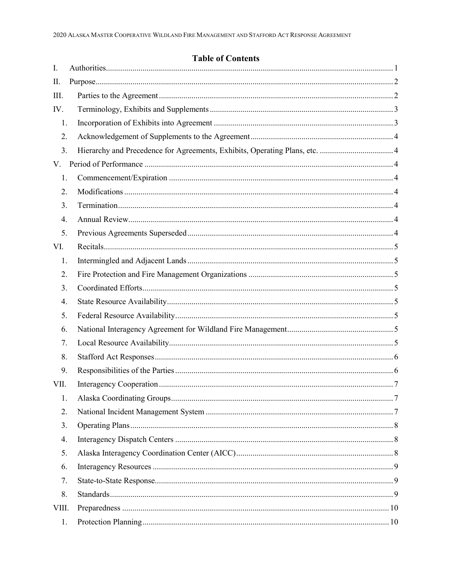# **Table of Contents**

| I.          |  |
|-------------|--|
| II.         |  |
| III.        |  |
| IV.         |  |
| 1.          |  |
| 2.          |  |
| 3.          |  |
| $V_{\cdot}$ |  |
| 1.          |  |
| 2.          |  |
| 3.          |  |
| 4.          |  |
| 5.          |  |
| VI.         |  |
| 1.          |  |
| 2.          |  |
| 3.          |  |
| 4.          |  |
| 5.          |  |
| 6.          |  |
| 7.          |  |
| 8.          |  |
| 9.          |  |
| VII.        |  |
| 1.          |  |
| 2.          |  |
| 3.          |  |
| 4.          |  |
| 5.          |  |
| 6.          |  |
| 7.          |  |
| 8.          |  |
| VIII.       |  |
| 1.          |  |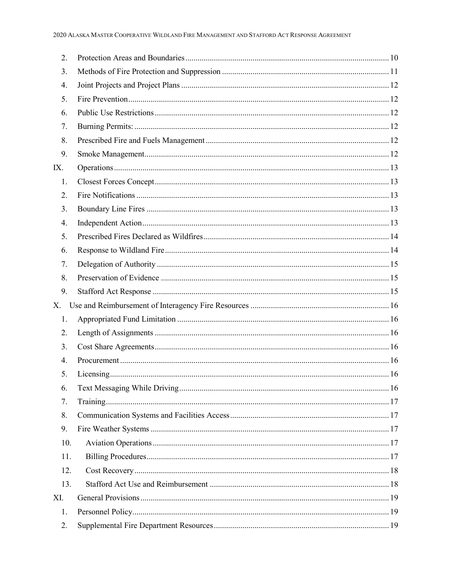| 2.  |  |
|-----|--|
| 3.  |  |
| 4.  |  |
| 5.  |  |
| 6.  |  |
| 7.  |  |
| 8.  |  |
| 9.  |  |
| IX. |  |
| 1.  |  |
| 2.  |  |
| 3.  |  |
| 4.  |  |
| 5.  |  |
| 6.  |  |
| 7.  |  |
| 8.  |  |
| 9.  |  |
| Х.  |  |
| 1.  |  |
| 2.  |  |
| 3.  |  |
| 4.  |  |
| 5.  |  |
| 6.  |  |
| 7.  |  |
| 8.  |  |
| 9.  |  |
| 10. |  |
| 11. |  |
| 12. |  |
| 13. |  |
| XI. |  |
| 1.  |  |
| 2.  |  |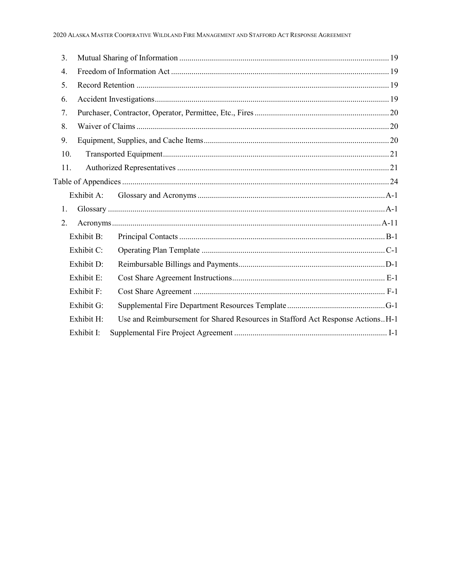| 3.  |            |                                                                                |  |  |
|-----|------------|--------------------------------------------------------------------------------|--|--|
| 4.  |            |                                                                                |  |  |
| 5.  |            |                                                                                |  |  |
| 6.  |            |                                                                                |  |  |
| 7.  |            |                                                                                |  |  |
| 8.  |            |                                                                                |  |  |
| 9.  |            |                                                                                |  |  |
| 10. |            |                                                                                |  |  |
| 11. |            |                                                                                |  |  |
|     |            |                                                                                |  |  |
|     | Exhibit A: |                                                                                |  |  |
| 1.  |            |                                                                                |  |  |
| 2.  |            |                                                                                |  |  |
|     | Exhibit B: |                                                                                |  |  |
|     | Exhibit C: |                                                                                |  |  |
|     | Exhibit D: |                                                                                |  |  |
|     | Exhibit E: |                                                                                |  |  |
|     | Exhibit F: |                                                                                |  |  |
|     | Exhibit G: |                                                                                |  |  |
|     | Exhibit H: | Use and Reimbursement for Shared Resources in Stafford Act Response ActionsH-1 |  |  |
|     | Exhibit I: |                                                                                |  |  |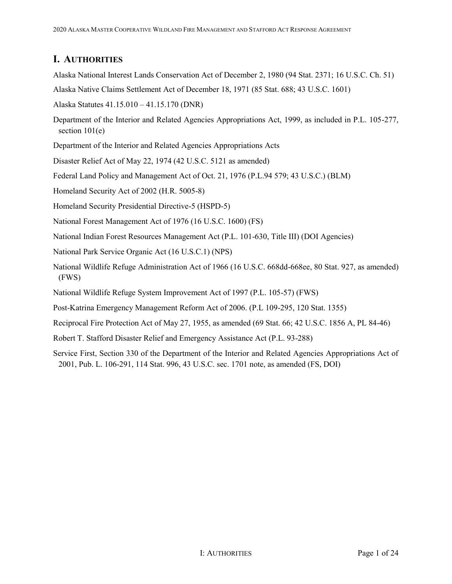# <span id="page-4-0"></span>**I. AUTHORITIES**

Alaska National Interest Lands Conservation Act of December 2, 1980 (94 Stat. 2371; 16 U.S.C. Ch. 51)

Alaska Native Claims Settlement Act of December 18, 1971 (85 Stat. 688; 43 U.S.C. 1601)

Alaska Statutes 41.15.010 – 41.15.170 (DNR)

Department of the Interior and Related Agencies Appropriations Act, 1999, as included in P.L. 105-277, section 101(e)

Department of the Interior and Related Agencies Appropriations Acts

Disaster Relief Act of May 22, 1974 (42 U.S.C. 5121 as amended)

Federal Land Policy and Management Act of Oct. 21, 1976 (P.L.94 579; 43 U.S.C.) (BLM)

Homeland Security Act of 2002 (H.R. 5005-8)

Homeland Security Presidential Directive-5 (HSPD-5)

National Forest Management Act of 1976 (16 U.S.C. 1600) (FS)

- National Indian Forest Resources Management Act (P.L. 101-630, Title III) (DOI Agencies)
- National Park Service Organic Act (16 U.S.C.1) (NPS)
- National Wildlife Refuge Administration Act of 1966 (16 U.S.C. 668dd-668ee, 80 Stat. 927, as amended) (FWS)
- National Wildlife Refuge System Improvement Act of 1997 (P.L. 105-57) (FWS)

Post-Katrina Emergency Management Reform Act of 2006. (P.L 109-295, 120 Stat. 1355)

Reciprocal Fire Protection Act of May 27, 1955, as amended (69 Stat. 66; 42 U.S.C. 1856 A, PL 84-46)

Robert T. Stafford Disaster Relief and Emergency Assistance Act (P.L. 93-288)

Service First, Section 330 of the Department of the Interior and Related Agencies Appropriations Act of 2001, Pub. L. 106-291, 114 Stat. 996, 43 U.S.C. sec. 1701 note, as amended (FS, DOI)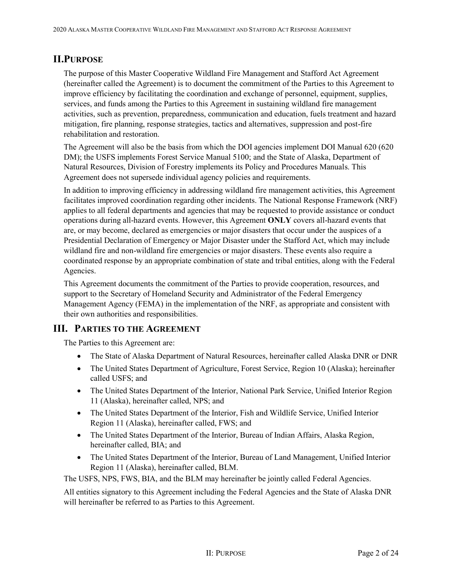# <span id="page-5-0"></span>**II.PURPOSE**

The purpose of this Master Cooperative Wildland Fire Management and Stafford Act Agreement (hereinafter called the Agreement) is to document the commitment of the Parties to this Agreement to improve efficiency by facilitating the coordination and exchange of personnel, equipment, supplies, services, and funds among the Parties to this Agreement in sustaining wildland fire management activities, such as prevention, preparedness, communication and education, fuels treatment and hazard mitigation, fire planning, response strategies, tactics and alternatives, suppression and post-fire rehabilitation and restoration.

The Agreement will also be the basis from which the DOI agencies implement DOI Manual 620 (620 DM); the USFS implements Forest Service Manual 5100; and the State of Alaska, Department of Natural Resources, Division of Forestry implements its Policy and Procedures Manuals. This Agreement does not supersede individual agency policies and requirements.

In addition to improving efficiency in addressing wildland fire management activities, this Agreement facilitates improved coordination regarding other incidents. The National Response Framework (NRF) applies to all federal departments and agencies that may be requested to provide assistance or conduct operations during all-hazard events. However, this Agreement **ONLY** covers all-hazard events that are, or may become, declared as emergencies or major disasters that occur under the auspices of a Presidential Declaration of Emergency or Major Disaster under the Stafford Act, which may include wildland fire and non-wildland fire emergencies or major disasters. These events also require a coordinated response by an appropriate combination of state and tribal entities, along with the Federal Agencies.

This Agreement documents the commitment of the Parties to provide cooperation, resources, and support to the Secretary of Homeland Security and Administrator of the Federal Emergency Management Agency (FEMA) in the implementation of the NRF, as appropriate and consistent with their own authorities and responsibilities.

# <span id="page-5-1"></span>**III. PARTIES TO THE AGREEMENT**

The Parties to this Agreement are:

- The State of Alaska Department of Natural Resources, hereinafter called Alaska DNR or DNR
- The United States Department of Agriculture, Forest Service, Region 10 (Alaska); hereinafter called USFS; and
- The United States Department of the Interior, National Park Service, Unified Interior Region 11 (Alaska), hereinafter called, NPS; and
- The United States Department of the Interior, Fish and Wildlife Service, Unified Interior Region 11 (Alaska), hereinafter called, FWS; and
- The United States Department of the Interior, Bureau of Indian Affairs, Alaska Region, hereinafter called, BIA; and
- The United States Department of the Interior, Bureau of Land Management, Unified Interior Region 11 (Alaska), hereinafter called, BLM.

The USFS, NPS, FWS, BIA, and the BLM may hereinafter be jointly called Federal Agencies.

All entities signatory to this Agreement including the Federal Agencies and the State of Alaska DNR will hereinafter be referred to as Parties to this Agreement.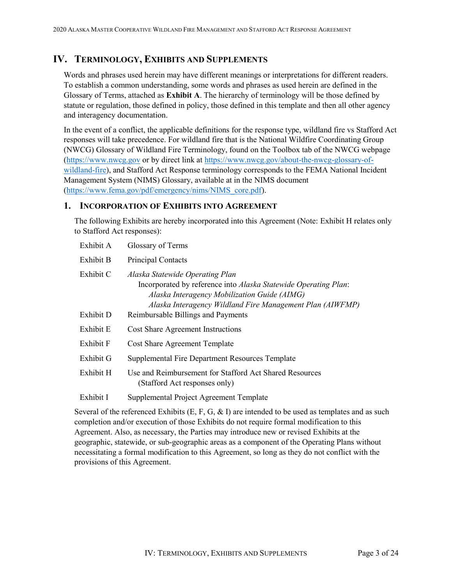# <span id="page-6-0"></span>**IV. TERMINOLOGY, EXHIBITS AND SUPPLEMENTS**

Words and phrases used herein may have different meanings or interpretations for different readers. To establish a common understanding, some words and phrases as used herein are defined in the Glossary of Terms, attached as **Exhibit A**. The hierarchy of terminology will be those defined by statute or regulation, those defined in policy, those defined in this template and then all other agency and interagency documentation.

In the event of a conflict, the applicable definitions for the response type, wildland fire vs Stafford Act responses will take precedence. For wildland fire that is the National Wildfire Coordinating Group (NWCG) Glossary of Wildland Fire Terminology, found on the Toolbox tab of the NWCG webpage [\(https://www.nwcg.gov](https://www.nwcg.gov/) or by direct link at [https://www.nwcg.gov/about-the-nwcg-glossary-of](https://www.nwcg.gov/about-the-nwcg-glossary-of-wildland-fire)[wildland-fire\)](https://www.nwcg.gov/about-the-nwcg-glossary-of-wildland-fire), and Stafford Act Response terminology corresponds to the FEMA National Incident Management System (NIMS) Glossary, available at in the NIMS document [\(https://www.fema.gov/pdf/emergency/nims/NIMS\\_core.pdf\)](https://www.fema.gov/pdf/emergency/nims/NIMS_core.pdf).

## <span id="page-6-1"></span>**1. INCORPORATION OF EXHIBITS INTO AGREEMENT**

The following Exhibits are hereby incorporated into this Agreement (Note: Exhibit H relates only to Stafford Act responses):

| Exhibit A              | Glossary of Terms                                                                                                                                                                                                                                     |
|------------------------|-------------------------------------------------------------------------------------------------------------------------------------------------------------------------------------------------------------------------------------------------------|
| Exhibit B              | Principal Contacts                                                                                                                                                                                                                                    |
| Exhibit C<br>Exhibit D | Alaska Statewide Operating Plan<br>Incorporated by reference into Alaska Statewide Operating Plan:<br>Alaska Interagency Mobilization Guide (AIMG)<br>Alaska Interagency Wildland Fire Management Plan (AIWFMP)<br>Reimbursable Billings and Payments |
| Exhibit E              | Cost Share Agreement Instructions                                                                                                                                                                                                                     |
| Exhibit F              | <b>Cost Share Agreement Template</b>                                                                                                                                                                                                                  |
| Exhibit G              | Supplemental Fire Department Resources Template                                                                                                                                                                                                       |
| Exhibit H              | Use and Reimbursement for Stafford Act Shared Resources<br>(Stafford Act responses only)                                                                                                                                                              |
| Exhibit I              | Supplemental Project Agreement Template                                                                                                                                                                                                               |

Several of the referenced Exhibits  $(E, F, G, \& I)$  are intended to be used as templates and as such completion and/or execution of those Exhibits do not require formal modification to this Agreement. Also, as necessary, the Parties may introduce new or revised Exhibits at the geographic, statewide, or sub-geographic areas as a component of the Operating Plans without necessitating a formal modification to this Agreement, so long as they do not conflict with the provisions of this Agreement.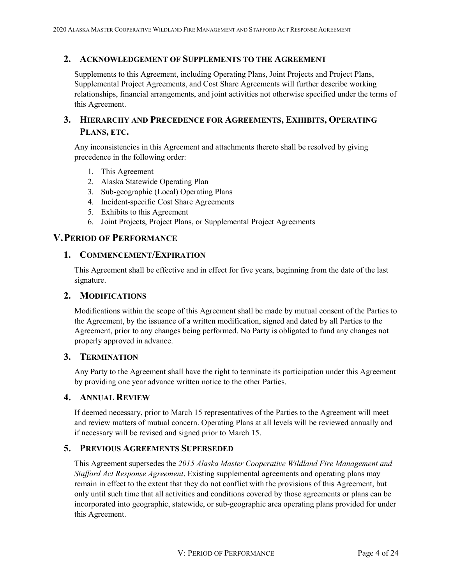#### <span id="page-7-0"></span>**2. ACKNOWLEDGEMENT OF SUPPLEMENTS TO THE AGREEMENT**

Supplements to this Agreement, including Operating Plans, Joint Projects and Project Plans, Supplemental Project Agreements, and Cost Share Agreements will further describe working relationships, financial arrangements, and joint activities not otherwise specified under the terms of this Agreement.

# <span id="page-7-1"></span>**3. HIERARCHY AND PRECEDENCE FOR AGREEMENTS, EXHIBITS, OPERATING PLANS, ETC.**

Any inconsistencies in this Agreement and attachments thereto shall be resolved by giving precedence in the following order:

- 1. This Agreement
- 2. Alaska Statewide Operating Plan
- 3. Sub-geographic (Local) Operating Plans
- 4. Incident-specific Cost Share Agreements
- 5. Exhibits to this Agreement
- 6. Joint Projects, Project Plans, or Supplemental Project Agreements

## <span id="page-7-2"></span>**V.PERIOD OF PERFORMANCE**

#### <span id="page-7-3"></span>**1. COMMENCEMENT/EXPIRATION**

This Agreement shall be effective and in effect for five years, beginning from the date of the last signature.

#### <span id="page-7-4"></span>**2. MODIFICATIONS**

Modifications within the scope of this Agreement shall be made by mutual consent of the Parties to the Agreement, by the issuance of a written modification, signed and dated by all Parties to the Agreement, prior to any changes being performed. No Party is obligated to fund any changes not properly approved in advance.

#### <span id="page-7-5"></span>**3. TERMINATION**

Any Party to the Agreement shall have the right to terminate its participation under this Agreement by providing one year advance written notice to the other Parties.

#### <span id="page-7-6"></span>**4. ANNUAL REVIEW**

If deemed necessary, prior to March 15 representatives of the Parties to the Agreement will meet and review matters of mutual concern. Operating Plans at all levels will be reviewed annually and if necessary will be revised and signed prior to March 15.

#### <span id="page-7-7"></span>**5. PREVIOUS AGREEMENTS SUPERSEDED**

This Agreement supersedes the *2015 Alaska Master Cooperative Wildland Fire Management and Stafford Act Response Agreement*. Existing supplemental agreements and operating plans may remain in effect to the extent that they do not conflict with the provisions of this Agreement, but only until such time that all activities and conditions covered by those agreements or plans can be incorporated into geographic, statewide, or sub-geographic area operating plans provided for under this Agreement.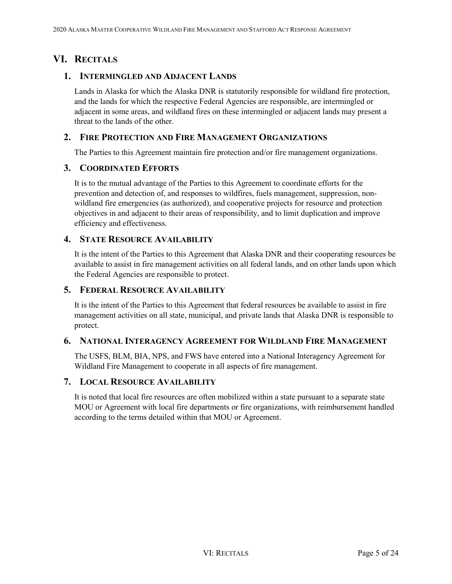# <span id="page-8-0"></span>**VI. RECITALS**

## <span id="page-8-1"></span>**1. INTERMINGLED AND ADJACENT LANDS**

Lands in Alaska for which the Alaska DNR is statutorily responsible for wildland fire protection, and the lands for which the respective Federal Agencies are responsible, are intermingled or adjacent in some areas, and wildland fires on these intermingled or adjacent lands may present a threat to the lands of the other.

## <span id="page-8-2"></span>**2. FIRE PROTECTION AND FIRE MANAGEMENT ORGANIZATIONS**

The Parties to this Agreement maintain fire protection and/or fire management organizations.

#### <span id="page-8-3"></span>**3. COORDINATED EFFORTS**

It is to the mutual advantage of the Parties to this Agreement to coordinate efforts for the prevention and detection of, and responses to wildfires, fuels management, suppression, nonwildland fire emergencies (as authorized), and cooperative projects for resource and protection objectives in and adjacent to their areas of responsibility, and to limit duplication and improve efficiency and effectiveness.

## <span id="page-8-4"></span>**4. STATE RESOURCE AVAILABILITY**

It is the intent of the Parties to this Agreement that Alaska DNR and their cooperating resources be available to assist in fire management activities on all federal lands, and on other lands upon which the Federal Agencies are responsible to protect.

#### <span id="page-8-5"></span>**5. FEDERAL RESOURCE AVAILABILITY**

It is the intent of the Parties to this Agreement that federal resources be available to assist in fire management activities on all state, municipal, and private lands that Alaska DNR is responsible to protect.

#### <span id="page-8-6"></span>**6. NATIONAL INTERAGENCY AGREEMENT FOR WILDLAND FIRE MANAGEMENT**

The USFS, BLM, BIA, NPS, and FWS have entered into a National Interagency Agreement for Wildland Fire Management to cooperate in all aspects of fire management.

#### <span id="page-8-7"></span>**7. LOCAL RESOURCE AVAILABILITY**

It is noted that local fire resources are often mobilized within a state pursuant to a separate state MOU or Agreement with local fire departments or fire organizations, with reimbursement handled according to the terms detailed within that MOU or Agreement.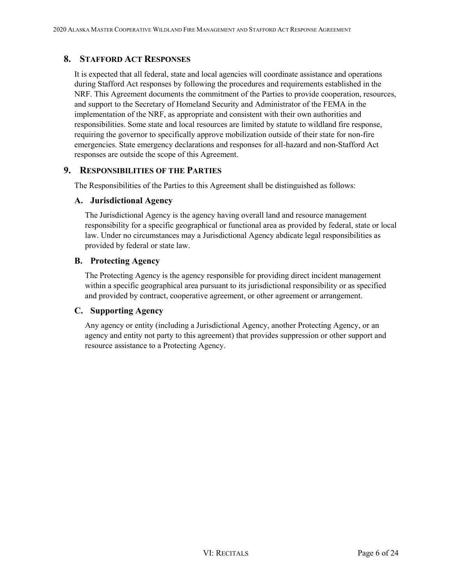# <span id="page-9-0"></span>**8. STAFFORD ACT RESPONSES**

It is expected that all federal, state and local agencies will coordinate assistance and operations during Stafford Act responses by following the procedures and requirements established in the NRF. This Agreement documents the commitment of the Parties to provide cooperation, resources, and support to the Secretary of Homeland Security and Administrator of the FEMA in the implementation of the NRF, as appropriate and consistent with their own authorities and responsibilities. Some state and local resources are limited by statute to wildland fire response, requiring the governor to specifically approve mobilization outside of their state for non-fire emergencies. State emergency declarations and responses for all-hazard and non-Stafford Act responses are outside the scope of this Agreement.

# <span id="page-9-1"></span>**9. RESPONSIBILITIES OF THE PARTIES**

The Responsibilities of the Parties to this Agreement shall be distinguished as follows:

#### **A. Jurisdictional Agency**

The Jurisdictional Agency is the agency having overall land and resource management responsibility for a specific geographical or functional area as provided by federal, state or local law. Under no circumstances may a Jurisdictional Agency abdicate legal responsibilities as provided by federal or state law.

## **B. Protecting Agency**

The Protecting Agency is the agency responsible for providing direct incident management within a specific geographical area pursuant to its jurisdictional responsibility or as specified and provided by contract, cooperative agreement, or other agreement or arrangement.

#### **C. Supporting Agency**

Any agency or entity (including a Jurisdictional Agency, another Protecting Agency, or an agency and entity not party to this agreement) that provides suppression or other support and resource assistance to a Protecting Agency.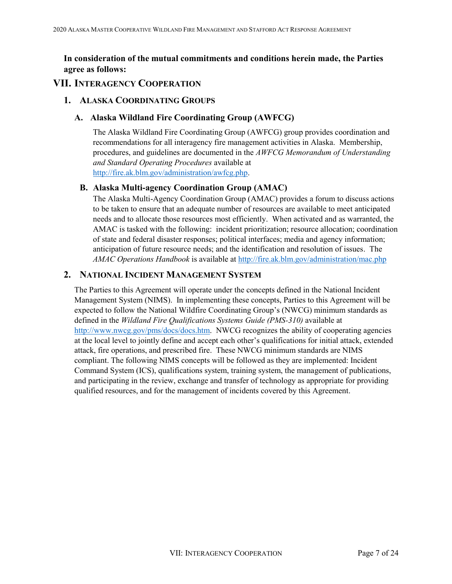# **In consideration of the mutual commitments and conditions herein made, the Parties agree as follows:**

# <span id="page-10-0"></span>**VII. INTERAGENCY COOPERATION**

## <span id="page-10-1"></span>**1. ALASKA COORDINATING GROUPS**

## **A. Alaska Wildland Fire Coordinating Group (AWFCG)**

The Alaska Wildland Fire Coordinating Group (AWFCG) group provides coordination and recommendations for all interagency fire management activities in Alaska. Membership, procedures, and guidelines are documented in the *AWFCG Memorandum of Understanding and Standard Operating Procedures* available at [http://fire.ak.blm.gov/administration/awfcg.php.](http://fire.ak.blm.gov/administration/awfcg.php)

## **B. Alaska Multi-agency Coordination Group (AMAC)**

The Alaska Multi-Agency Coordination Group (AMAC) provides a forum to discuss actions to be taken to ensure that an adequate number of resources are available to meet anticipated needs and to allocate those resources most efficiently. When activated and as warranted, the AMAC is tasked with the following: incident prioritization; resource allocation; coordination of state and federal disaster responses; political interfaces; media and agency information; anticipation of future resource needs; and the identification and resolution of issues. The *AMAC Operations Handbook* is available a[t http://fire.ak.blm.gov/administration/mac.php](http://fire.ak.blm.gov/administration/mac.php)

# <span id="page-10-2"></span>**2. NATIONAL INCIDENT MANAGEMENT SYSTEM**

The Parties to this Agreement will operate under the concepts defined in the National Incident Management System (NIMS). In implementing these concepts, Parties to this Agreement will be expected to follow the National Wildfire Coordinating Group's (NWCG) minimum standards as defined in the *Wildland Fire Qualifications Systems Guide (PMS-310)* available at [http://www.nwcg.gov/pms/docs/docs.htm.](http://www.nwcg.gov/pms/docs/docs.htm) NWCG recognizes the ability of cooperating agencies at the local level to jointly define and accept each other's qualifications for initial attack, extended attack, fire operations, and prescribed fire. These NWCG minimum standards are NIMS compliant. The following NIMS concepts will be followed as they are implemented: Incident Command System (ICS), qualifications system, training system, the management of publications, and participating in the review, exchange and transfer of technology as appropriate for providing qualified resources, and for the management of incidents covered by this Agreement.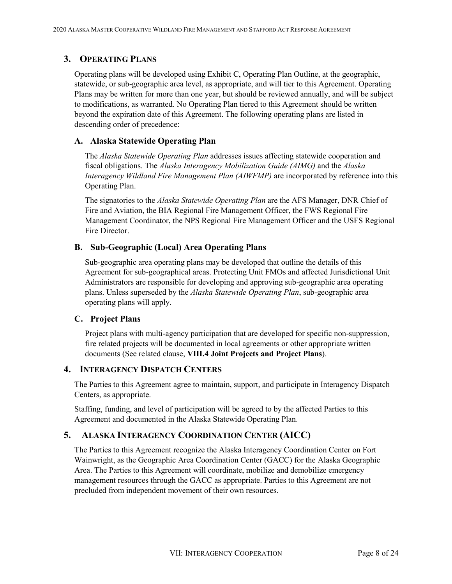## <span id="page-11-0"></span>**3. OPERATING PLANS**

Operating plans will be developed using Exhibit C, Operating Plan Outline, at the geographic, statewide, or sub-geographic area level, as appropriate, and will tier to this Agreement. Operating Plans may be written for more than one year, but should be reviewed annually, and will be subject to modifications, as warranted. No Operating Plan tiered to this Agreement should be written beyond the expiration date of this Agreement. The following operating plans are listed in descending order of precedence:

#### **A. Alaska Statewide Operating Plan**

The *Alaska Statewide Operating Plan* addresses issues affecting statewide cooperation and fiscal obligations. The *Alaska Interagency Mobilization Guide (AIMG)* and the *Alaska Interagency Wildland Fire Management Plan (AIWFMP)* are incorporated by reference into this Operating Plan.

The signatories to the *Alaska Statewide Operating Plan* are the AFS Manager, DNR Chief of Fire and Aviation, the BIA Regional Fire Management Officer, the FWS Regional Fire Management Coordinator, the NPS Regional Fire Management Officer and the USFS Regional Fire Director.

#### **B. Sub-Geographic (Local) Area Operating Plans**

Sub-geographic area operating plans may be developed that outline the details of this Agreement for sub-geographical areas. Protecting Unit FMOs and affected Jurisdictional Unit Administrators are responsible for developing and approving sub-geographic area operating plans. Unless superseded by the *Alaska Statewide Operating Plan*, sub-geographic area operating plans will apply.

#### **C. Project Plans**

Project plans with multi-agency participation that are developed for specific non-suppression, fire related projects will be documented in local agreements or other appropriate written documents (See related clause, **[VIII.4](#page-15-0) [Joint Projects and Project Plans](#page-15-0)**).

#### <span id="page-11-1"></span>**4. INTERAGENCY DISPATCH CENTERS**

The Parties to this Agreement agree to maintain, support, and participate in Interagency Dispatch Centers, as appropriate.

Staffing, funding, and level of participation will be agreed to by the affected Parties to this Agreement and documented in the Alaska Statewide Operating Plan.

#### <span id="page-11-2"></span>**5. ALASKA INTERAGENCY COORDINATION CENTER (AICC)**

The Parties to this Agreement recognize the Alaska Interagency Coordination Center on Fort Wainwright, as the Geographic Area Coordination Center (GACC) for the Alaska Geographic Area. The Parties to this Agreement will coordinate, mobilize and demobilize emergency management resources through the GACC as appropriate. Parties to this Agreement are not precluded from independent movement of their own resources.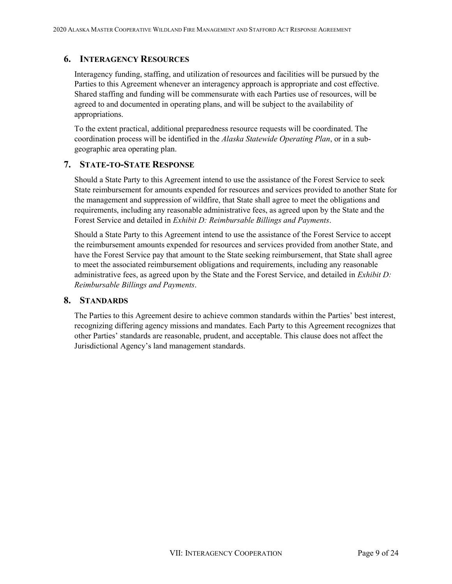#### <span id="page-12-0"></span>**6. INTERAGENCY RESOURCES**

Interagency funding, staffing, and utilization of resources and facilities will be pursued by the Parties to this Agreement whenever an interagency approach is appropriate and cost effective. Shared staffing and funding will be commensurate with each Parties use of resources, will be agreed to and documented in operating plans, and will be subject to the availability of appropriations.

To the extent practical, additional preparedness resource requests will be coordinated. The coordination process will be identified in the *Alaska Statewide Operating Plan*, or in a subgeographic area operating plan.

#### <span id="page-12-1"></span>**7. STATE-TO-STATE RESPONSE**

Should a State Party to this Agreement intend to use the assistance of the Forest Service to seek State reimbursement for amounts expended for resources and services provided to another State for the management and suppression of wildfire, that State shall agree to meet the obligations and requirements, including any reasonable administrative fees, as agreed upon by the State and the Forest Service and detailed in *Exhibit D: Reimbursable Billings and Payments*.

Should a State Party to this Agreement intend to use the assistance of the Forest Service to accept the reimbursement amounts expended for resources and services provided from another State, and have the Forest Service pay that amount to the State seeking reimbursement, that State shall agree to meet the associated reimbursement obligations and requirements, including any reasonable administrative fees, as agreed upon by the State and the Forest Service, and detailed in *Exhibit D: Reimbursable Billings and Payments*.

#### <span id="page-12-2"></span>**8. STANDARDS**

The Parties to this Agreement desire to achieve common standards within the Parties' best interest, recognizing differing agency missions and mandates. Each Party to this Agreement recognizes that other Parties' standards are reasonable, prudent, and acceptable. This clause does not affect the Jurisdictional Agency's land management standards.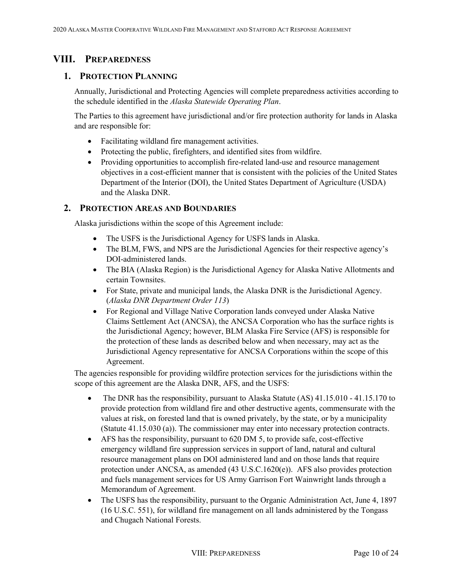# <span id="page-13-0"></span>**VIII. PREPAREDNESS**

## <span id="page-13-1"></span>**1. PROTECTION PLANNING**

Annually, Jurisdictional and Protecting Agencies will complete preparedness activities according to the schedule identified in the *Alaska Statewide Operating Plan*.

The Parties to this agreement have jurisdictional and/or fire protection authority for lands in Alaska and are responsible for:

- Facilitating wildland fire management activities.
- Protecting the public, firefighters, and identified sites from wildfire.
- Providing opportunities to accomplish fire-related land-use and resource management objectives in a cost-efficient manner that is consistent with the policies of the United States Department of the Interior (DOI), the United States Department of Agriculture (USDA) and the Alaska DNR.

#### <span id="page-13-2"></span>**2. PROTECTION AREAS AND BOUNDARIES**

Alaska jurisdictions within the scope of this Agreement include:

- The USFS is the Jurisdictional Agency for USFS lands in Alaska.
- The BLM, FWS, and NPS are the Jurisdictional Agencies for their respective agency's DOI-administered lands.
- The BIA (Alaska Region) is the Jurisdictional Agency for Alaska Native Allotments and certain Townsites.
- For State, private and municipal lands, the Alaska DNR is the Jurisdictional Agency. (*Alaska DNR Department Order 113*)
- For Regional and Village Native Corporation lands conveyed under Alaska Native Claims Settlement Act (ANCSA), the ANCSA Corporation who has the surface rights is the Jurisdictional Agency; however, BLM Alaska Fire Service (AFS) is responsible for the protection of these lands as described below and when necessary, may act as the Jurisdictional Agency representative for ANCSA Corporations within the scope of this Agreement.

The agencies responsible for providing wildfire protection services for the jurisdictions within the scope of this agreement are the Alaska DNR, AFS, and the USFS:

- The DNR has the responsibility, pursuant to Alaska Statute (AS) 41.15.010 41.15.170 to provide protection from wildland fire and other destructive agents, commensurate with the values at risk, on forested land that is owned privately, by the state, or by a municipality (Statute 41.15.030 (a)). The commissioner may enter into necessary protection contracts.
- AFS has the responsibility, pursuant to 620 DM 5, to provide safe, cost-effective emergency wildland fire suppression services in support of land, natural and cultural resource management plans on DOI administered land and on those lands that require protection under ANCSA, as amended (43 U.S.C.1620(e)). AFS also provides protection and fuels management services for US Army Garrison Fort Wainwright lands through a Memorandum of Agreement.
- The USFS has the responsibility, pursuant to the Organic Administration Act, June 4, 1897 (16 U.S.C. 551), for wildland fire management on all lands administered by the Tongass and Chugach National Forests.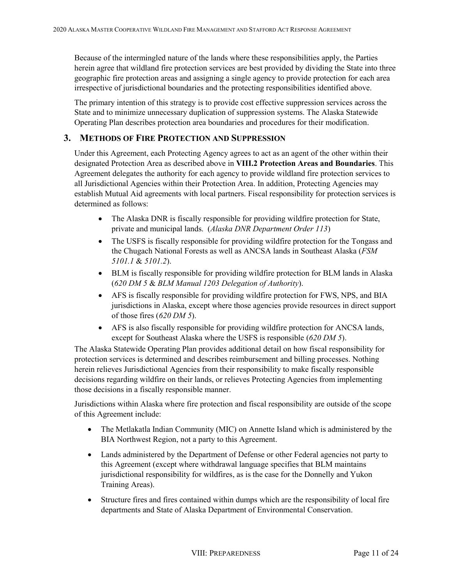Because of the intermingled nature of the lands where these responsibilities apply, the Parties herein agree that wildland fire protection services are best provided by dividing the State into three geographic fire protection areas and assigning a single agency to provide protection for each area irrespective of jurisdictional boundaries and the protecting responsibilities identified above.

The primary intention of this strategy is to provide cost effective suppression services across the State and to minimize unnecessary duplication of suppression systems. The Alaska Statewide Operating Plan describes protection area boundaries and procedures for their modification.

#### <span id="page-14-0"></span>**3. METHODS OF FIRE PROTECTION AND SUPPRESSION**

Under this Agreement, each Protecting Agency agrees to act as an agent of the other within their designated Protection Area as described above in **[VIII.2](#page-13-2) [Protection Areas and Boundaries](#page-13-2)**. This Agreement delegates the authority for each agency to provide wildland fire protection services to all Jurisdictional Agencies within their Protection Area. In addition, Protecting Agencies may establish Mutual Aid agreements with local partners. Fiscal responsibility for protection services is determined as follows:

- The Alaska DNR is fiscally responsible for providing wildfire protection for State, private and municipal lands. (*Alaska DNR Department Order 113*)
- The USFS is fiscally responsible for providing wildfire protection for the Tongass and the Chugach National Forests as well as ANCSA lands in Southeast Alaska (*FSM 5101.1* & *5101.2*).
- BLM is fiscally responsible for providing wildfire protection for BLM lands in Alaska (*620 DM 5* & *BLM Manual 1203 Delegation of Authority*).
- AFS is fiscally responsible for providing wildfire protection for FWS, NPS, and BIA jurisdictions in Alaska, except where those agencies provide resources in direct support of those fires (*620 DM 5*).
- AFS is also fiscally responsible for providing wildfire protection for ANCSA lands, except for Southeast Alaska where the USFS is responsible (*620 DM 5*).

The Alaska Statewide Operating Plan provides additional detail on how fiscal responsibility for protection services is determined and describes reimbursement and billing processes. Nothing herein relieves Jurisdictional Agencies from their responsibility to make fiscally responsible decisions regarding wildfire on their lands, or relieves Protecting Agencies from implementing those decisions in a fiscally responsible manner.

Jurisdictions within Alaska where fire protection and fiscal responsibility are outside of the scope of this Agreement include:

- The Metlakatla Indian Community (MIC) on Annette Island which is administered by the BIA Northwest Region, not a party to this Agreement.
- Lands administered by the Department of Defense or other Federal agencies not party to this Agreement (except where withdrawal language specifies that BLM maintains jurisdictional responsibility for wildfires, as is the case for the Donnelly and Yukon Training Areas).
- Structure fires and fires contained within dumps which are the responsibility of local fire departments and State of Alaska Department of Environmental Conservation.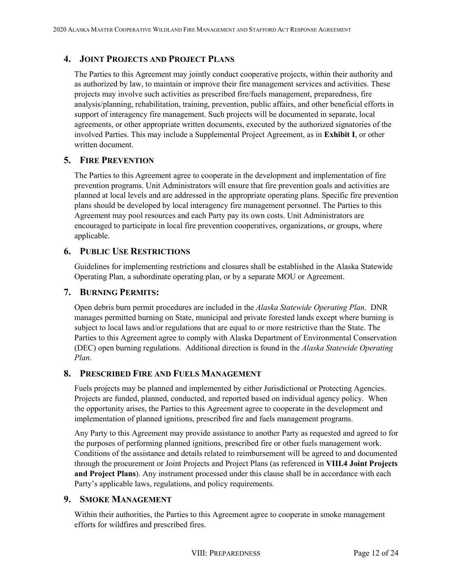# <span id="page-15-0"></span>**4. JOINT PROJECTS AND PROJECT PLANS**

The Parties to this Agreement may jointly conduct cooperative projects, within their authority and as authorized by law, to maintain or improve their fire management services and activities. These projects may involve such activities as prescribed fire/fuels management, preparedness, fire analysis/planning, rehabilitation, training, prevention, public affairs, and other beneficial efforts in support of interagency fire management. Such projects will be documented in separate, local agreements, or other appropriate written documents, executed by the authorized signatories of the involved Parties. This may include a Supplemental Project Agreement, as in **Exhibit I**, or other written document.

# <span id="page-15-1"></span>**5. FIRE PREVENTION**

The Parties to this Agreement agree to cooperate in the development and implementation of fire prevention programs. Unit Administrators will ensure that fire prevention goals and activities are planned at local levels and are addressed in the appropriate operating plans. Specific fire prevention plans should be developed by local interagency fire management personnel. The Parties to this Agreement may pool resources and each Party pay its own costs. Unit Administrators are encouraged to participate in local fire prevention cooperatives, organizations, or groups, where applicable.

## <span id="page-15-2"></span>**6. PUBLIC USE RESTRICTIONS**

Guidelines for implementing restrictions and closures shall be established in the Alaska Statewide Operating Plan, a subordinate operating plan, or by a separate MOU or Agreement.

#### <span id="page-15-3"></span>**7. BURNING PERMITS:**

Open debris burn permit procedures are included in the *Alaska Statewide Operating Plan*. DNR manages permitted burning on State, municipal and private forested lands except where burning is subject to local laws and/or regulations that are equal to or more restrictive than the State. The Parties to this Agreement agree to comply with Alaska Department of Environmental Conservation (DEC) open burning regulations. Additional direction is found in the *Alaska Statewide Operating Plan*.

#### <span id="page-15-4"></span>**8. PRESCRIBED FIRE AND FUELS MANAGEMENT**

Fuels projects may be planned and implemented by either Jurisdictional or Protecting Agencies. Projects are funded, planned, conducted, and reported based on individual agency policy. When the opportunity arises, the Parties to this Agreement agree to cooperate in the development and implementation of planned ignitions, prescribed fire and fuels management programs.

Any Party to this Agreement may provide assistance to another Party as requested and agreed to for the purposes of performing planned ignitions, prescribed fire or other fuels management work. Conditions of the assistance and details related to reimbursement will be agreed to and documented through the procurement or Joint Projects and Project Plans (as referenced in **[VIII.4](#page-15-0) [Joint Projects](#page-15-0)  [and Project Plans](#page-15-0)**). Any instrument processed under this clause shall be in accordance with each Party's applicable laws, regulations, and policy requirements.

#### <span id="page-15-5"></span>**9. SMOKE MANAGEMENT**

Within their authorities, the Parties to this Agreement agree to cooperate in smoke management efforts for wildfires and prescribed fires.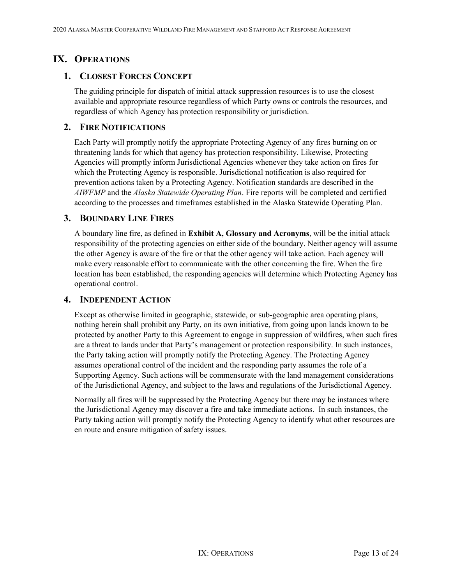# <span id="page-16-0"></span>**IX. OPERATIONS**

## <span id="page-16-1"></span>**1. CLOSEST FORCES CONCEPT**

The guiding principle for dispatch of initial attack suppression resources is to use the closest available and appropriate resource regardless of which Party owns or controls the resources, and regardless of which Agency has protection responsibility or jurisdiction.

## <span id="page-16-2"></span>**2. FIRE NOTIFICATIONS**

Each Party will promptly notify the appropriate Protecting Agency of any fires burning on or threatening lands for which that agency has protection responsibility. Likewise, Protecting Agencies will promptly inform Jurisdictional Agencies whenever they take action on fires for which the Protecting Agency is responsible. Jurisdictional notification is also required for prevention actions taken by a Protecting Agency. Notification standards are described in the *AIWFMP* and the *Alaska Statewide Operating Plan*. Fire reports will be completed and certified according to the processes and timeframes established in the Alaska Statewide Operating Plan.

## <span id="page-16-3"></span>**3. BOUNDARY LINE FIRES**

A boundary line fire, as defined in **Exhibit A, Glossary and Acronyms**, will be the initial attack responsibility of the protecting agencies on either side of the boundary. Neither agency will assume the other Agency is aware of the fire or that the other agency will take action. Each agency will make every reasonable effort to communicate with the other concerning the fire. When the fire location has been established, the responding agencies will determine which Protecting Agency has operational control.

#### <span id="page-16-4"></span>**4. INDEPENDENT ACTION**

Except as otherwise limited in geographic, statewide, or sub-geographic area operating plans, nothing herein shall prohibit any Party, on its own initiative, from going upon lands known to be protected by another Party to this Agreement to engage in suppression of wildfires, when such fires are a threat to lands under that Party's management or protection responsibility. In such instances, the Party taking action will promptly notify the Protecting Agency. The Protecting Agency assumes operational control of the incident and the responding party assumes the role of a Supporting Agency. Such actions will be commensurate with the land management considerations of the Jurisdictional Agency, and subject to the laws and regulations of the Jurisdictional Agency.

Normally all fires will be suppressed by the Protecting Agency but there may be instances where the Jurisdictional Agency may discover a fire and take immediate actions. In such instances, the Party taking action will promptly notify the Protecting Agency to identify what other resources are en route and ensure mitigation of safety issues.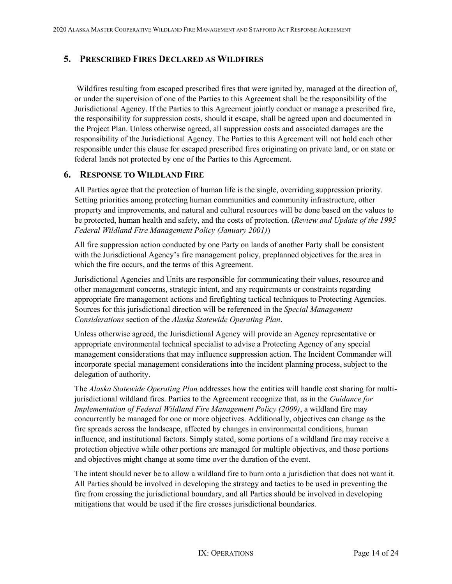## <span id="page-17-0"></span>**5. PRESCRIBED FIRES DECLARED AS WILDFIRES**

Wildfires resulting from escaped prescribed fires that were ignited by, managed at the direction of, or under the supervision of one of the Parties to this Agreement shall be the responsibility of the Jurisdictional Agency. If the Parties to this Agreement jointly conduct or manage a prescribed fire, the responsibility for suppression costs, should it escape, shall be agreed upon and documented in the Project Plan. Unless otherwise agreed, all suppression costs and associated damages are the responsibility of the Jurisdictional Agency. The Parties to this Agreement will not hold each other responsible under this clause for escaped prescribed fires originating on private land, or on state or federal lands not protected by one of the Parties to this Agreement.

#### <span id="page-17-1"></span>**6. RESPONSE TO WILDLAND FIRE**

All Parties agree that the protection of human life is the single, overriding suppression priority. Setting priorities among protecting human communities and community infrastructure, other property and improvements, and natural and cultural resources will be done based on the values to be protected, human health and safety, and the costs of protection. (*Review and Update of the 1995 Federal Wildland Fire Management Policy (January 2001)*)

All fire suppression action conducted by one Party on lands of another Party shall be consistent with the Jurisdictional Agency's fire management policy, preplanned objectives for the area in which the fire occurs, and the terms of this Agreement.

Jurisdictional Agencies and Units are responsible for communicating their values, resource and other management concerns, strategic intent, and any requirements or constraints regarding appropriate fire management actions and firefighting tactical techniques to Protecting Agencies. Sources for this jurisdictional direction will be referenced in the *Special Management Considerations* section of the *Alaska Statewide Operating Plan*.

Unless otherwise agreed, the Jurisdictional Agency will provide an Agency representative or appropriate environmental technical specialist to advise a Protecting Agency of any special management considerations that may influence suppression action. The Incident Commander will incorporate special management considerations into the incident planning process, subject to the delegation of authority.

The *Alaska Statewide Operating Plan* addresses how the entities will handle cost sharing for multijurisdictional wildland fires. Parties to the Agreement recognize that, as in the *Guidance for Implementation of Federal Wildland Fire Management Policy (2009)*, a wildland fire may concurrently be managed for one or more objectives. Additionally, objectives can change as the fire spreads across the landscape, affected by changes in environmental conditions, human influence, and institutional factors. Simply stated, some portions of a wildland fire may receive a protection objective while other portions are managed for multiple objectives, and those portions and objectives might change at some time over the duration of the event.

The intent should never be to allow a wildland fire to burn onto a jurisdiction that does not want it. All Parties should be involved in developing the strategy and tactics to be used in preventing the fire from crossing the jurisdictional boundary, and all Parties should be involved in developing mitigations that would be used if the fire crosses jurisdictional boundaries.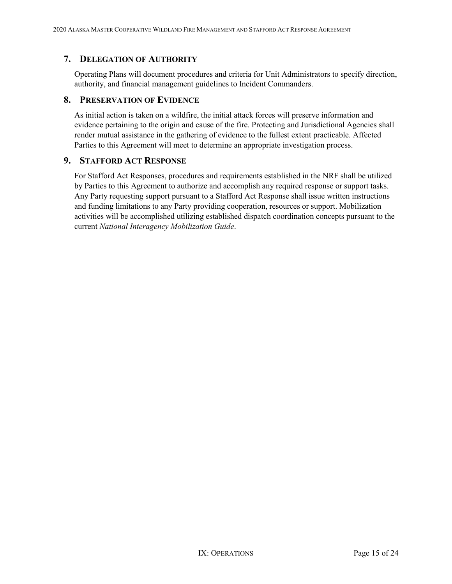# <span id="page-18-0"></span>**7. DELEGATION OF AUTHORITY**

Operating Plans will document procedures and criteria for Unit Administrators to specify direction, authority, and financial management guidelines to Incident Commanders.

#### <span id="page-18-1"></span>**8. PRESERVATION OF EVIDENCE**

As initial action is taken on a wildfire, the initial attack forces will preserve information and evidence pertaining to the origin and cause of the fire. Protecting and Jurisdictional Agencies shall render mutual assistance in the gathering of evidence to the fullest extent practicable. Affected Parties to this Agreement will meet to determine an appropriate investigation process.

#### <span id="page-18-2"></span>**9. STAFFORD ACT RESPONSE**

For Stafford Act Responses, procedures and requirements established in the NRF shall be utilized by Parties to this Agreement to authorize and accomplish any required response or support tasks. Any Party requesting support pursuant to a Stafford Act Response shall issue written instructions and funding limitations to any Party providing cooperation, resources or support. Mobilization activities will be accomplished utilizing established dispatch coordination concepts pursuant to the current *National Interagency Mobilization Guide*.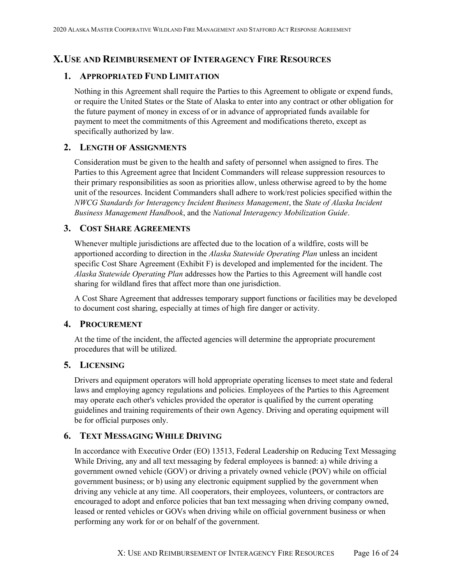# <span id="page-19-0"></span>**X.USE AND REIMBURSEMENT OF INTERAGENCY FIRE RESOURCES**

# <span id="page-19-1"></span>**1. APPROPRIATED FUND LIMITATION**

Nothing in this Agreement shall require the Parties to this Agreement to obligate or expend funds, or require the United States or the State of Alaska to enter into any contract or other obligation for the future payment of money in excess of or in advance of appropriated funds available for payment to meet the commitments of this Agreement and modifications thereto, except as specifically authorized by law.

## <span id="page-19-2"></span>**2. LENGTH OF ASSIGNMENTS**

Consideration must be given to the health and safety of personnel when assigned to fires. The Parties to this Agreement agree that Incident Commanders will release suppression resources to their primary responsibilities as soon as priorities allow, unless otherwise agreed to by the home unit of the resources. Incident Commanders shall adhere to work/rest policies specified within the *NWCG Standards for Interagency Incident Business Management*, the *State of Alaska Incident Business Management Handbook*, and the *National Interagency Mobilization Guide*.

## <span id="page-19-3"></span>**3. COST SHARE AGREEMENTS**

Whenever multiple jurisdictions are affected due to the location of a wildfire, costs will be apportioned according to direction in the *Alaska Statewide Operating Plan* unless an incident specific Cost Share Agreement (Exhibit F) is developed and implemented for the incident. The *Alaska Statewide Operating Plan* addresses how the Parties to this Agreement will handle cost sharing for wildland fires that affect more than one jurisdiction.

A Cost Share Agreement that addresses temporary support functions or facilities may be developed to document cost sharing, especially at times of high fire danger or activity.

#### <span id="page-19-4"></span>**4. PROCUREMENT**

At the time of the incident, the affected agencies will determine the appropriate procurement procedures that will be utilized.

#### <span id="page-19-5"></span>**5. LICENSING**

Drivers and equipment operators will hold appropriate operating licenses to meet state and federal laws and employing agency regulations and policies. Employees of the Parties to this Agreement may operate each other's vehicles provided the operator is qualified by the current operating guidelines and training requirements of their own Agency. Driving and operating equipment will be for official purposes only.

#### <span id="page-19-6"></span>**6. TEXT MESSAGING WHILE DRIVING**

In accordance with Executive Order (EO) 13513, Federal Leadership on Reducing Text Messaging While Driving, any and all text messaging by federal employees is banned: a) while driving a government owned vehicle (GOV) or driving a privately owned vehicle (POV) while on official government business; or b) using any electronic equipment supplied by the government when driving any vehicle at any time. All cooperators, their employees, volunteers, or contractors are encouraged to adopt and enforce policies that ban text messaging when driving company owned, leased or rented vehicles or GOVs when driving while on official government business or when performing any work for or on behalf of the government.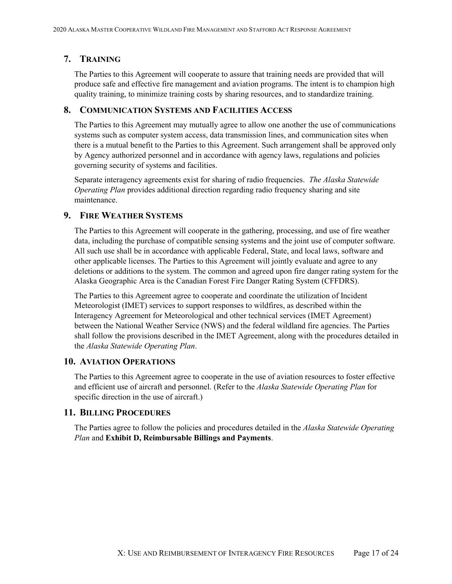## <span id="page-20-0"></span>**7. TRAINING**

The Parties to this Agreement will cooperate to assure that training needs are provided that will produce safe and effective fire management and aviation programs. The intent is to champion high quality training, to minimize training costs by sharing resources, and to standardize training.

#### <span id="page-20-1"></span>**8. COMMUNICATION SYSTEMS AND FACILITIES ACCESS**

The Parties to this Agreement may mutually agree to allow one another the use of communications systems such as computer system access, data transmission lines, and communication sites when there is a mutual benefit to the Parties to this Agreement. Such arrangement shall be approved only by Agency authorized personnel and in accordance with agency laws, regulations and policies governing security of systems and facilities.

Separate interagency agreements exist for sharing of radio frequencies. *The Alaska Statewide Operating Plan* provides additional direction regarding radio frequency sharing and site maintenance.

#### <span id="page-20-2"></span>**9. FIRE WEATHER SYSTEMS**

The Parties to this Agreement will cooperate in the gathering, processing, and use of fire weather data, including the purchase of compatible sensing systems and the joint use of computer software. All such use shall be in accordance with applicable Federal, State, and local laws, software and other applicable licenses. The Parties to this Agreement will jointly evaluate and agree to any deletions or additions to the system. The common and agreed upon fire danger rating system for the Alaska Geographic Area is the Canadian Forest Fire Danger Rating System (CFFDRS).

The Parties to this Agreement agree to cooperate and coordinate the utilization of Incident Meteorologist (IMET) services to support responses to wildfires, as described within the Interagency Agreement for Meteorological and other technical services (IMET Agreement) between the National Weather Service (NWS) and the federal wildland fire agencies. The Parties shall follow the provisions described in the IMET Agreement, along with the procedures detailed in the *Alaska Statewide Operating Plan*.

#### <span id="page-20-3"></span>**10. AVIATION OPERATIONS**

The Parties to this Agreement agree to cooperate in the use of aviation resources to foster effective and efficient use of aircraft and personnel. (Refer to the *Alaska Statewide Operating Plan* for specific direction in the use of aircraft.)

#### <span id="page-20-4"></span>**11. BILLING PROCEDURES**

The Parties agree to follow the policies and procedures detailed in the *Alaska Statewide Operating Plan* and **Exhibit D, Reimbursable Billings and Payments**.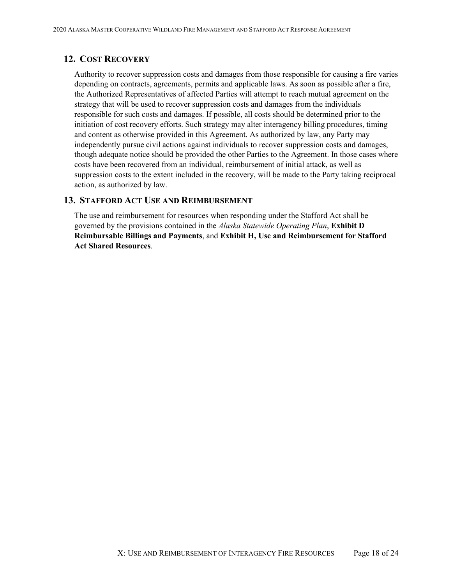# <span id="page-21-0"></span>**12. COST RECOVERY**

Authority to recover suppression costs and damages from those responsible for causing a fire varies depending on contracts, agreements, permits and applicable laws. As soon as possible after a fire, the Authorized Representatives of affected Parties will attempt to reach mutual agreement on the strategy that will be used to recover suppression costs and damages from the individuals responsible for such costs and damages. If possible, all costs should be determined prior to the initiation of cost recovery efforts. Such strategy may alter interagency billing procedures, timing and content as otherwise provided in this Agreement. As authorized by law, any Party may independently pursue civil actions against individuals to recover suppression costs and damages, though adequate notice should be provided the other Parties to the Agreement. In those cases where costs have been recovered from an individual, reimbursement of initial attack, as well as suppression costs to the extent included in the recovery, will be made to the Party taking reciprocal action, as authorized by law.

## <span id="page-21-1"></span>**13. STAFFORD ACT USE AND REIMBURSEMENT**

The use and reimbursement for resources when responding under the Stafford Act shall be governed by the provisions contained in the *Alaska Statewide Operating Plan*, **Exhibit D Reimbursable Billings and Payments**, and **Exhibit H, Use and Reimbursement for Stafford Act Shared Resources**.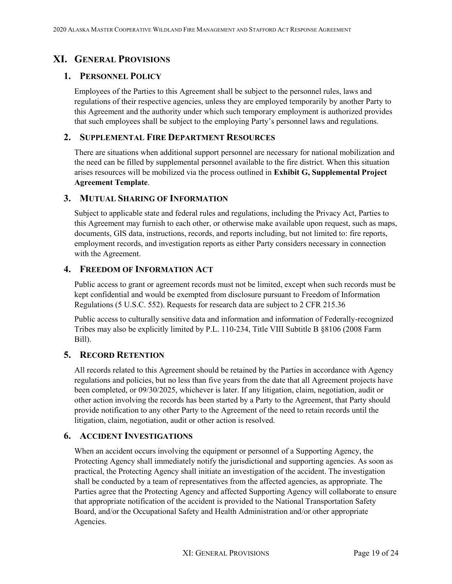# <span id="page-22-0"></span>**XI. GENERAL PROVISIONS**

# <span id="page-22-1"></span>**1. PERSONNEL POLICY**

Employees of the Parties to this Agreement shall be subject to the personnel rules, laws and regulations of their respective agencies, unless they are employed temporarily by another Party to this Agreement and the authority under which such temporary employment is authorized provides that such employees shall be subject to the employing Party's personnel laws and regulations.

## <span id="page-22-2"></span>**2. SUPPLEMENTAL FIRE DEPARTMENT RESOURCES**

There are situations when additional support personnel are necessary for national mobilization and the need can be filled by supplemental personnel available to the fire district. When this situation arises resources will be mobilized via the process outlined in **Exhibit G, Supplemental Project Agreement Template**.

#### <span id="page-22-3"></span>**3. MUTUAL SHARING OF INFORMATION**

Subject to applicable state and federal rules and regulations, including the Privacy Act, Parties to this Agreement may furnish to each other, or otherwise make available upon request, such as maps, documents, GIS data, instructions, records, and reports including, but not limited to: fire reports, employment records, and investigation reports as either Party considers necessary in connection with the Agreement.

#### <span id="page-22-4"></span>**4. FREEDOM OF INFORMATION ACT**

Public access to grant or agreement records must not be limited, except when such records must be kept confidential and would be exempted from disclosure pursuant to Freedom of Information Regulations (5 U.S.C. 552). Requests for research data are subject to 2 CFR 215.36

Public access to culturally sensitive data and information and information of Federally-recognized Tribes may also be explicitly limited by P.L. 110-234, Title VIII Subtitle B §8106 (2008 Farm Bill).

# <span id="page-22-5"></span>**5. RECORD RETENTION**

All records related to this Agreement should be retained by the Parties in accordance with Agency regulations and policies, but no less than five years from the date that all Agreement projects have been completed, or 09/30/2025, whichever is later. If any litigation, claim, negotiation, audit or other action involving the records has been started by a Party to the Agreement, that Party should provide notification to any other Party to the Agreement of the need to retain records until the litigation, claim, negotiation, audit or other action is resolved.

#### <span id="page-22-6"></span>**6. ACCIDENT INVESTIGATIONS**

When an accident occurs involving the equipment or personnel of a Supporting Agency, the Protecting Agency shall immediately notify the jurisdictional and supporting agencies. As soon as practical, the Protecting Agency shall initiate an investigation of the accident. The investigation shall be conducted by a team of representatives from the affected agencies, as appropriate. The Parties agree that the Protecting Agency and affected Supporting Agency will collaborate to ensure that appropriate notification of the accident is provided to the National Transportation Safety Board, and/or the Occupational Safety and Health Administration and/or other appropriate Agencies.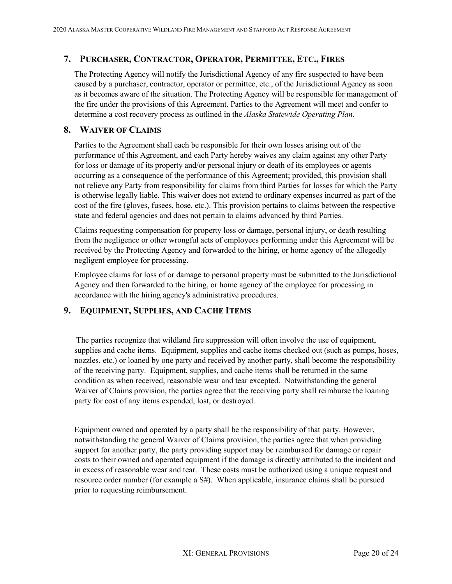# <span id="page-23-0"></span>**7. PURCHASER, CONTRACTOR, OPERATOR, PERMITTEE, ETC., FIRES**

The Protecting Agency will notify the Jurisdictional Agency of any fire suspected to have been caused by a purchaser, contractor, operator or permittee, etc., of the Jurisdictional Agency as soon as it becomes aware of the situation. The Protecting Agency will be responsible for management of the fire under the provisions of this Agreement. Parties to the Agreement will meet and confer to determine a cost recovery process as outlined in the *Alaska Statewide Operating Plan*.

#### <span id="page-23-1"></span>**8. WAIVER OF CLAIMS**

Parties to the Agreement shall each be responsible for their own losses arising out of the performance of this Agreement, and each Party hereby waives any claim against any other Party for loss or damage of its property and/or personal injury or death of its employees or agents occurring as a consequence of the performance of this Agreement; provided, this provision shall not relieve any Party from responsibility for claims from third Parties for losses for which the Party is otherwise legally liable. This waiver does not extend to ordinary expenses incurred as part of the cost of the fire (gloves, fusees, hose, etc.). This provision pertains to claims between the respective state and federal agencies and does not pertain to claims advanced by third Parties.

Claims requesting compensation for property loss or damage, personal injury, or death resulting from the negligence or other wrongful acts of employees performing under this Agreement will be received by the Protecting Agency and forwarded to the hiring, or home agency of the allegedly negligent employee for processing.

Employee claims for loss of or damage to personal property must be submitted to the Jurisdictional Agency and then forwarded to the hiring, or home agency of the employee for processing in accordance with the hiring agency's administrative procedures.

# <span id="page-23-2"></span>**9. EQUIPMENT, SUPPLIES, AND CACHE ITEMS**

The parties recognize that wildland fire suppression will often involve the use of equipment, supplies and cache items. Equipment, supplies and cache items checked out (such as pumps, hoses, nozzles, etc.) or loaned by one party and received by another party, shall become the responsibility of the receiving party. Equipment, supplies, and cache items shall be returned in the same condition as when received, reasonable wear and tear excepted. Notwithstanding the general Waiver of Claims provision, the parties agree that the receiving party shall reimburse the loaning party for cost of any items expended, lost, or destroyed.

Equipment owned and operated by a party shall be the responsibility of that party. However, notwithstanding the general Waiver of Claims provision, the parties agree that when providing support for another party, the party providing support may be reimbursed for damage or repair costs to their owned and operated equipment if the damage is directly attributed to the incident and in excess of reasonable wear and tear. These costs must be authorized using a unique request and resource order number (for example a S#). When applicable, insurance claims shall be pursued prior to requesting reimbursement.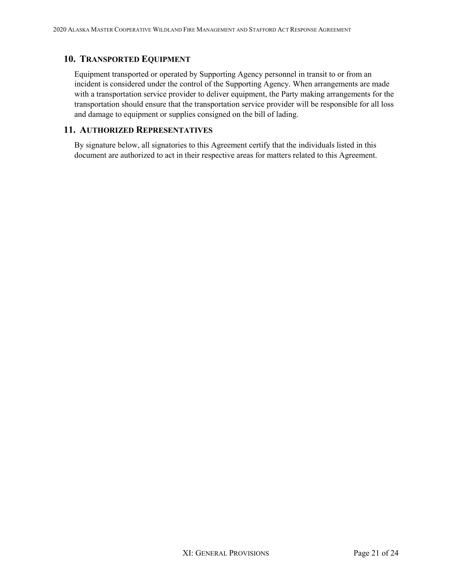## <span id="page-24-0"></span>**10. TRANSPORTED EQUIPMENT**

Equipment transported or operated by Supporting Agency personnel in transit to or from an incident is considered under the control of the Supporting Agency. When arrangements are made with a transportation service provider to deliver equipment, the Party making arrangements for the transportation should ensure that the transportation service provider will be responsible for all loss and damage to equipment or supplies consigned on the bill of lading.

#### <span id="page-24-1"></span>**11. AUTHORIZED REPRESENTATIVES**

By signature below, all signatories to this Agreement certify that the individuals listed in this document are authorized to act in their respective areas for matters related to this Agreement.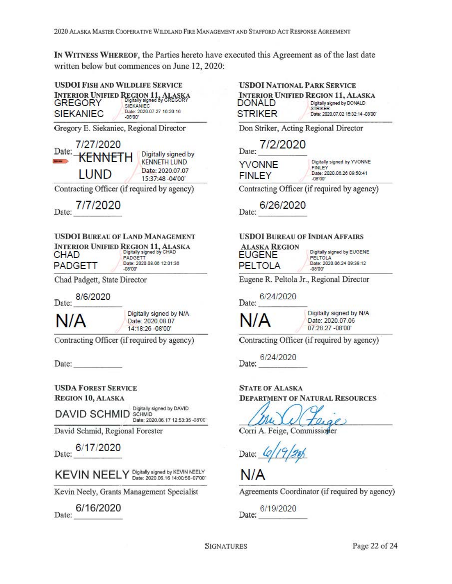IN WITNESS WHEREOF, the Parties hereto have executed this Agreement as of the last date written below but commences on June 12, 2020:

| <b>USDOI FISH AND WILDLIFE SERVICE</b>         |                                                                                                  | <b>USDOI NATIONAL PARK SERVICE</b>                      |                                                                                                                                |
|------------------------------------------------|--------------------------------------------------------------------------------------------------|---------------------------------------------------------|--------------------------------------------------------------------------------------------------------------------------------|
| <b>GREGORY</b><br><b>SIEKANIEC</b>             | INTERIOR UNIFIED REGION 11, ALASKA<br><b>SIEKANIEC</b><br>Date: 2020.07.27 16:20:16<br>$-08'00'$ | <b>DONALD</b><br><b>STRIKER</b>                         | <b>INTERIOR UNIFIED REGION 11, ALASKA</b><br>Digitally signed by DONALD<br><b>STRIKER</b><br>Date: 2020.07.02 15:32:14 -08'00' |
|                                                | Gregory E. Siekaniec, Regional Director                                                          |                                                         | Don Striker, Acting Regional Director                                                                                          |
| 7/27/2020<br>Date:<br><b>KENNET</b>            | Digitally signed by                                                                              | 7/2/2020<br>Date:                                       |                                                                                                                                |
| <b>LUND</b>                                    | <b>KENNETH LUND</b><br>Date: 2020.07.07<br>15:37:48 - 04'00'                                     | <b>YVONNE</b><br><b>FINLEY</b>                          | Digitally signed by YVONNE<br><b>FINLEY</b><br>Date: 2020.06.26 09:50:41<br>$-08"00"$                                          |
|                                                | Contracting Officer (if required by agency)                                                      |                                                         | Contracting Officer (if required by agency)                                                                                    |
| 7/7/2020<br>Date:                              |                                                                                                  | 6/26/2020<br>Date:                                      |                                                                                                                                |
|                                                | <b>USDOI BUREAU OF LAND MANAGEMENT</b>                                                           |                                                         | <b>USDOI BUREAU OF INDIAN AFFAIRS</b>                                                                                          |
| <b>CHAD</b><br><b>PADGETT</b>                  | INTERIOR UNIFIED REGION 11, ALASKA<br><b>PADGETT</b><br>Date: 2020.08.06 12:01:36                | <b>ALASKA REGION</b><br><b>EUGENE</b><br><b>PELTOLA</b> | Digitally signed by EUGENE<br><b>PELTOLA</b><br>Date: 2020.06.24 09:38:12<br>$-08'00'$                                         |
| $-08'00'$<br>Chad Padgett, State Director      |                                                                                                  | Eugene R. Peltola Jr., Regional Director                |                                                                                                                                |
| 8/6/2020<br>Date:                              |                                                                                                  | 6/24/2020<br>Date:                                      |                                                                                                                                |
| N/A                                            | Digitally signed by N/A<br>Date: 2020.08.07<br>14:18:26 -08'00"                                  | N/A                                                     | Digitally signed by N/A<br>Date: 2020.07.06<br>07:28:27 -08'00"                                                                |
|                                                | Contracting Officer (if required by agency)                                                      |                                                         | Contracting Officer (if required by agency)                                                                                    |
| Date:                                          |                                                                                                  | 6/24/2020<br>Date:                                      |                                                                                                                                |
| <b>USDA FOREST SERVICE</b>                     |                                                                                                  | <b>STATE OF ALASKA</b>                                  |                                                                                                                                |
| REGION 10, ALASKA<br>Digitally signed by DAVID |                                                                                                  |                                                         | <b>DEPARTMENT OF NATURAL RESOURCES</b>                                                                                         |
| <b>DAVID SCHMID SCHMID</b>                     | Date: 2020.06.17 12:53:35 -08'00"                                                                |                                                         |                                                                                                                                |
| David Schmid, Regional Forester                |                                                                                                  | Corri A. Feige, Commissioner                            |                                                                                                                                |
| 6/17/2020<br>Date:                             |                                                                                                  | Date:                                                   |                                                                                                                                |

KEVIN NEELY Digitally signed by KEVIN NEELY

Kevin Neely, Grants Management Specialist

6/16/2020

Date:

Date:  $\mathcal{Q}/\mathcal{I}/\mathcal{I}/\mathcal{P}$ 

 $N/A$ 

Agreements Coordinator (if required by agency)

Date:  $\frac{6/19}{2020}$ 

**SIGNATURES**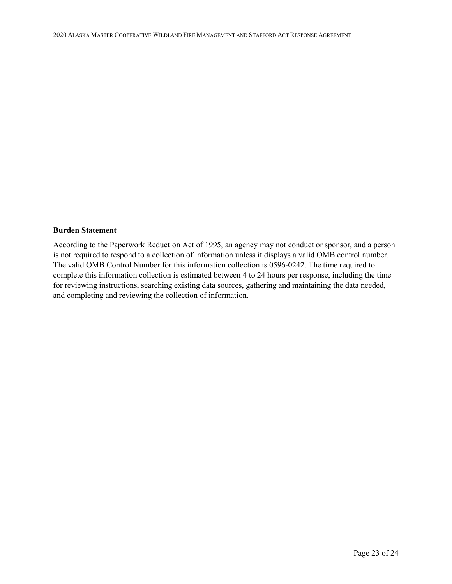#### **Burden Statement**

According to the Paperwork Reduction Act of 1995, an agency may not conduct or sponsor, and a person is not required to respond to a collection of information unless it displays a valid OMB control number. The valid OMB Control Number for this information collection is 0596-0242. The time required to complete this information collection is estimated between 4 to 24 hours per response, including the time for reviewing instructions, searching existing data sources, gathering and maintaining the data needed, and completing and reviewing the collection of information.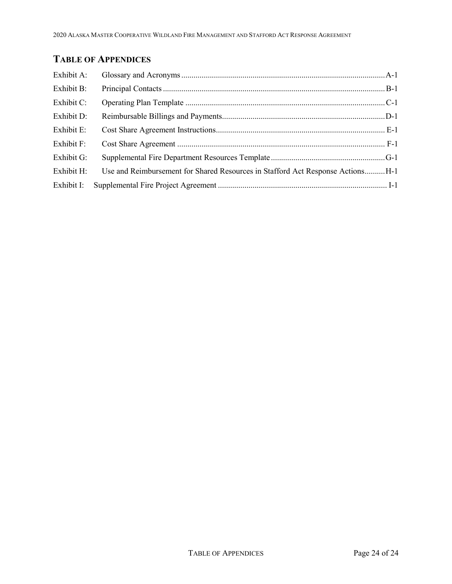# <span id="page-27-0"></span>**TABLE OF APPENDICES**

| Exhibit A: |                                                                                |  |
|------------|--------------------------------------------------------------------------------|--|
| Exhibit B: |                                                                                |  |
| Exhibit C: |                                                                                |  |
| Exhibit D: |                                                                                |  |
| Exhibit E: |                                                                                |  |
| Exhibit F: |                                                                                |  |
| Exhibit G: |                                                                                |  |
| Exhibit H: | Use and Reimbursement for Shared Resources in Stafford Act Response ActionsH-1 |  |
| Exhibit I: |                                                                                |  |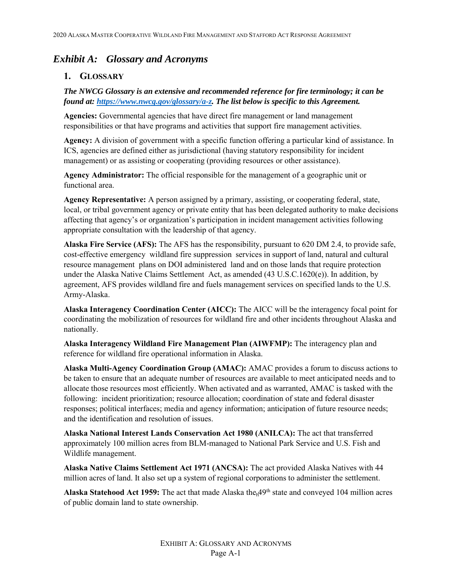# <span id="page-28-0"></span>*Exhibit A: Glossary and Acronyms*

# <span id="page-28-1"></span>**1. GLOSSARY**

## *The NWCG Glossary is an extensive and recommended reference for fire terminology; it can be found at: [https://www.nwcg.gov/glossary/a-z.](https://www.nwcg.gov/glossary/a-z) The list below is specific to this Agreement.*

**Agencies:** Governmental agencies that have direct fire management or land management responsibilities or that have programs and activities that support fire management activities.

**Agency:** A division of government with a specific function offering a particular kind of assistance. In ICS, agencies are defined either as jurisdictional (having statutory responsibility for incident management) or as assisting or cooperating (providing resources or other assistance).

**Agency Administrator:** The official responsible for the management of a geographic unit or functional area.

**Agency Representative:** A person assigned by a primary, assisting, or cooperating federal, state, local, or tribal government agency or private entity that has been delegated authority to make decisions affecting that agency's or organization's participation in incident management activities following appropriate consultation with the leadership of that agency.

**Alaska Fire Service (AFS):** The AFS has the responsibility, pursuant to 620 DM 2.4, to provide safe, cost-effective emergency wildland fire suppression services in support of land, natural and cultural resource management plans on DOI administered land and on those lands that require protection under the Alaska Native Claims Settlement Act, as amended (43 U.S.C.1620(e)). In addition, by agreement, AFS provides wildland fire and fuels management services on specified lands to the U.S. Army-Alaska.

**Alaska Interagency Coordination Center (AICC):** The AICC will be the interagency focal point for coordinating the mobilization of resources for wildland fire and other incidents throughout Alaska and nationally.

**Alaska Interagency Wildland Fire Management Plan (AIWFMP):** The interagency plan and reference for wildland fire operational information in Alaska.

**Alaska Multi-Agency Coordination Group (AMAC):** AMAC provides a forum to discuss actions to be taken to ensure that an adequate number of resources are available to meet anticipated needs and to allocate those resources most efficiently. When activated and as warranted, AMAC is tasked with the following: incident prioritization; resource allocation; coordination of state and federal disaster responses; political interfaces; media and agency information; anticipation of future resource needs; and the identification and resolution of issues.

**Alaska National Interest Lands Conservation Act 1980 (ANILCA):** The act that transferred approximately 100 million acres from BLM-managed to National Park Service and U.S. Fish and Wildlife management.

**Alaska Native Claims Settlement Act 1971 (ANCSA):** The act provided Alaska Natives with 44 million acres of land. It also set up a system of regional corporations to administer the settlement.

Alaska Statehood Act 1959: The act that made Alaska the<sub>n</sub>49<sup>th</sup> state and conveyed 104 million acres of public domain land to state ownership.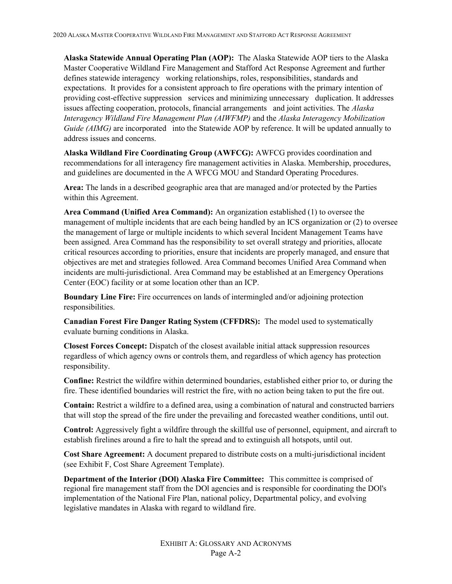**Alaska Statewide Annual Operating Plan (AOP):** The Alaska Statewide AOP tiers to the Alaska Master Cooperative Wildland Fire Management and Stafford Act Response Agreement and further defines statewide interagency working relationships, roles, responsibilities, standards and expectations. It provides for a consistent approach to fire operations with the primary intention of providing cost-effective suppression services and minimizing unnecessary duplication. It addresses issues affecting cooperation, protocols, financial arrangements and joint activities. The *Alaska Interagency Wildland Fire Management Plan (AIWFMP)* and the *Alaska Interagency Mobilization Guide (AIMG)* are incorporated into the Statewide AOP by reference. It will be updated annually to address issues and concerns.

**Alaska Wildland Fire Coordinating Group (AWFCG):** AWFCG provides coordination and recommendations for all interagency fire management activities in Alaska. Membership, procedures, and guidelines are documented in the A WFCG MOU and Standard Operating Procedures.

**Area:** The lands in a described geographic area that are managed and/or protected by the Parties within this Agreement.

**Area Command (Unified Area Command):** An organization established (1) to oversee the management of multiple incidents that are each being handled by an ICS organization or (2) to oversee the management of large or multiple incidents to which several Incident Management Teams have been assigned. Area Command has the responsibility to set overall strategy and priorities, allocate critical resources according to priorities, ensure that incidents are properly managed, and ensure that objectives are met and strategies followed. Area Command becomes Unified Area Command when incidents are multi-jurisdictional. Area Command may be established at an Emergency Operations Center (EOC) facility or at some location other than an ICP.

**Boundary Line Fire:** Fire occurrences on lands of intermingled and/or adjoining protection responsibilities.

**Canadian Forest Fire Danger Rating System (CFFDRS):** The model used to systematically evaluate burning conditions in Alaska.

**Closest Forces Concept:** Dispatch of the closest available initial attack suppression resources regardless of which agency owns or controls them, and regardless of which agency has protection responsibility.

**Confine:** Restrict the wildfire within determined boundaries, established either prior to, or during the fire. These identified boundaries will restrict the fire, with no action being taken to put the fire out.

**Contain:** Restrict a wildfire to a defined area, using a combination of natural and constructed barriers that will stop the spread of the fire under the prevailing and forecasted weather conditions, until out.

**Control:** Aggressively fight a wildfire through the skillful use of personnel, equipment, and aircraft to establish firelines around a fire to halt the spread and to extinguish all hotspots, until out.

**Cost Share Agreement:** A document prepared to distribute costs on a multi-jurisdictional incident (see Exhibit F, Cost Share Agreement Template).

**Department of the Interior (DOl) Alaska Fire Committee:** This committee is comprised of regional fire management staff from the DOl agencies and is responsible for coordinating the DOl's implementation of the National Fire Plan, national policy, Departmental policy, and evolving legislative mandates in Alaska with regard to wildland fire.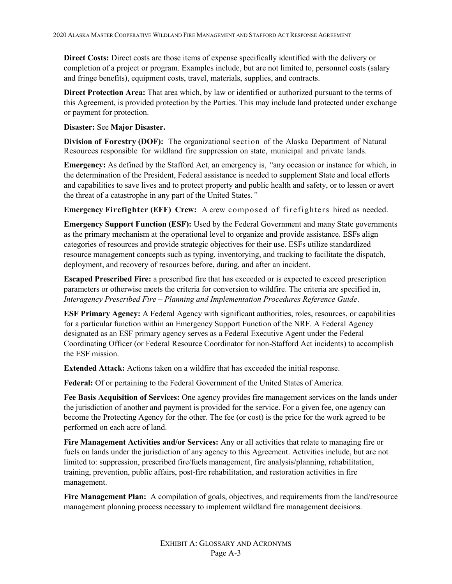**Direct Costs:** Direct costs are those items of expense specifically identified with the delivery or completion of a project or program. Examples include, but are not limited to, personnel costs (salary and fringe benefits), equipment costs, travel, materials, supplies, and contracts.

**Direct Protection Area:** That area which, by law or identified or authorized pursuant to the terms of this Agreement, is provided protection by the Parties. This may include land protected under exchange or payment for protection.

#### **Disaster:** See **Major Disaster.**

**Division of Forestry (DOF):** The organizational section of the Alaska Department of Natural Resources responsible for wildland fire suppression on state, municipal and private lands.

**Emergency:** As defined by the Stafford Act, an emergency is, *"*any occasion or instance for which, in the determination of the President, Federal assistance is needed to supplement State and local efforts and capabilities to save lives and to protect property and public health and safety, or to lessen or avert the threat of a catastrophe in any part of the United States.*"*

**Emergency Firefighter (EFF) Crew:** A crew composed of firefighters hired as needed.

**Emergency Support Function (ESF):** Used by the Federal Government and many State governments as the primary mechanism at the operational level to organize and provide assistance. ESFs align categories of resources and provide strategic objectives for their use. ESFs utilize standardized resource management concepts such as typing, inventorying, and tracking to facilitate the dispatch, deployment, and recovery of resources before, during, and after an incident.

**Escaped Prescribed Fire:** a prescribed fire that has exceeded or is expected to exceed prescription parameters or otherwise meets the criteria for conversion to wildfire. The criteria are specified in, *Interagency Prescribed Fire – Planning and Implementation Procedures Reference Guide*.

**ESF Primary Agency:** A Federal Agency with significant authorities, roles, resources, or capabilities for a particular function within an Emergency Support Function of the NRF. A Federal Agency designated as an ESF primary agency serves as a Federal Executive Agent under the Federal Coordinating Officer (or Federal Resource Coordinator for non-Stafford Act incidents) to accomplish the ESF mission.

**Extended Attack:** Actions taken on a wildfire that has exceeded the initial response.

**Federal:** Of or pertaining to the Federal Government of the United States of America.

**Fee Basis Acquisition of Services:** One agency provides fire management services on the lands under the jurisdiction of another and payment is provided for the service. For a given fee, one agency can become the Protecting Agency for the other. The fee (or cost) is the price for the work agreed to be performed on each acre of land.

**Fire Management Activities and/or Services:** Any or all activities that relate to managing fire or fuels on lands under the jurisdiction of any agency to this Agreement. Activities include, but are not limited to: suppression, prescribed fire/fuels management, fire analysis/planning, rehabilitation, training, prevention, public affairs, post-fire rehabilitation, and restoration activities in fire management.

**Fire Management Plan:** A compilation of goals, objectives, and requirements from the land/resource management planning process necessary to implement wildland fire management decisions.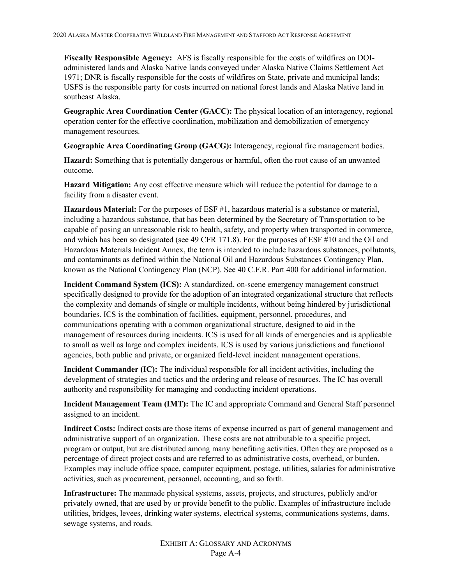**Fiscally Responsible Agency:** AFS is fiscally responsible for the costs of wildfires on DOIadministered lands and Alaska Native lands conveyed under Alaska Native Claims Settlement Act 1971; DNR is fiscally responsible for the costs of wildfires on State, private and municipal lands; USFS is the responsible party for costs incurred on national forest lands and Alaska Native land in southeast Alaska.

**Geographic Area Coordination Center (GACC):** The physical location of an interagency, regional operation center for the effective coordination, mobilization and demobilization of emergency management resources.

**Geographic Area Coordinating Group (GACG):** Interagency, regional fire management bodies.

**Hazard:** Something that is potentially dangerous or harmful, often the root cause of an unwanted outcome.

**Hazard Mitigation:** Any cost effective measure which will reduce the potential for damage to a facility from a disaster event.

**Hazardous Material:** For the purposes of ESF #1, hazardous material is a substance or material, including a hazardous substance, that has been determined by the Secretary of Transportation to be capable of posing an unreasonable risk to health, safety, and property when transported in commerce, and which has been so designated (see 49 CFR 171.8). For the purposes of ESF #10 and the Oil and Hazardous Materials Incident Annex, the term is intended to include hazardous substances, pollutants, and contaminants as defined within the National Oil and Hazardous Substances Contingency Plan, known as the National Contingency Plan (NCP). See 40 C.F.R. Part 400 for additional information.

**Incident Command System (ICS):** A standardized, on-scene emergency management construct specifically designed to provide for the adoption of an integrated organizational structure that reflects the complexity and demands of single or multiple incidents, without being hindered by jurisdictional boundaries. ICS is the combination of facilities, equipment, personnel, procedures, and communications operating with a common organizational structure, designed to aid in the management of resources during incidents. ICS is used for all kinds of emergencies and is applicable to small as well as large and complex incidents. ICS is used by various jurisdictions and functional agencies, both public and private, or organized field-level incident management operations.

**Incident Commander (IC):** The individual responsible for all incident activities, including the development of strategies and tactics and the ordering and release of resources. The IC has overall authority and responsibility for managing and conducting incident operations.

**Incident Management Team (IMT):** The IC and appropriate Command and General Staff personnel assigned to an incident.

**Indirect Costs:** Indirect costs are those items of expense incurred as part of general management and administrative support of an organization. These costs are not attributable to a specific project, program or output, but are distributed among many benefiting activities. Often they are proposed as a percentage of direct project costs and are referred to as administrative costs, overhead, or burden. Examples may include office space, computer equipment, postage, utilities, salaries for administrative activities, such as procurement, personnel, accounting, and so forth.

**Infrastructure:** The manmade physical systems, assets, projects, and structures, publicly and/or privately owned, that are used by or provide benefit to the public. Examples of infrastructure include utilities, bridges, levees, drinking water systems, electrical systems, communications systems, dams, sewage systems, and roads.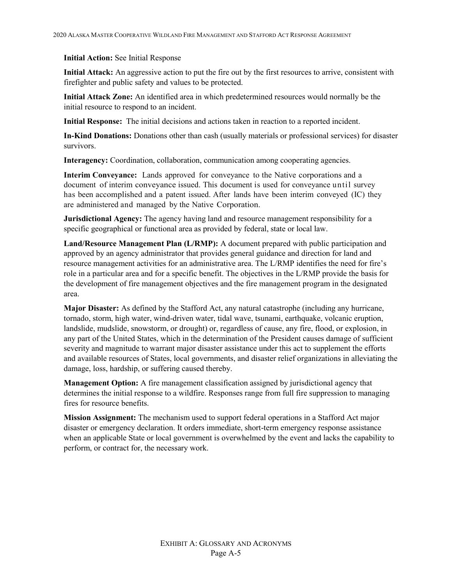#### **Initial Action:** See Initial Response

**Initial Attack:** An aggressive action to put the fire out by the first resources to arrive, consistent with firefighter and public safety and values to be protected.

**Initial Attack Zone:** An identified area in which predetermined resources would normally be the initial resource to respond to an incident.

**Initial Response:** The initial decisions and actions taken in reaction to a reported incident.

**In-Kind Donations:** Donations other than cash (usually materials or professional services) for disaster survivors.

**Interagency:** Coordination, collaboration, communication among cooperating agencies.

**Interim Conveyance:** Lands approved for conveyance to the Native corporations and a document of interim conveyance issued. This document is used for conveyance until survey has been accomplished and a patent issued. After lands have been interim conveyed (IC) they are administered and managed by the Native Corporation.

**Jurisdictional Agency:** The agency having land and resource management responsibility for a specific geographical or functional area as provided by federal, state or local law.

**Land/Resource Management Plan (L/RMP):** A document prepared with public participation and approved by an agency administrator that provides general guidance and direction for land and resource management activities for an administrative area. The L/RMP identifies the need for fire's role in a particular area and for a specific benefit. The objectives in the L/RMP provide the basis for the development of fire management objectives and the fire management program in the designated area.

**Major Disaster:** As defined by the Stafford Act, any natural catastrophe (including any hurricane, tornado, storm, high water, wind-driven water, tidal wave, tsunami, earthquake, volcanic eruption, landslide, mudslide, snowstorm, or drought) or, regardless of cause, any fire, flood, or explosion, in any part of the United States, which in the determination of the President causes damage of sufficient severity and magnitude to warrant major disaster assistance under this act to supplement the efforts and available resources of States, local governments, and disaster relief organizations in alleviating the damage, loss, hardship, or suffering caused thereby.

**Management Option:** A fire management classification assigned by jurisdictional agency that determines the initial response to a wildfire. Responses range from full fire suppression to managing fires for resource benefits.

**Mission Assignment:** The mechanism used to support federal operations in a Stafford Act major disaster or emergency declaration. It orders immediate, short-term emergency response assistance when an applicable State or local government is overwhelmed by the event and lacks the capability to perform, or contract for, the necessary work.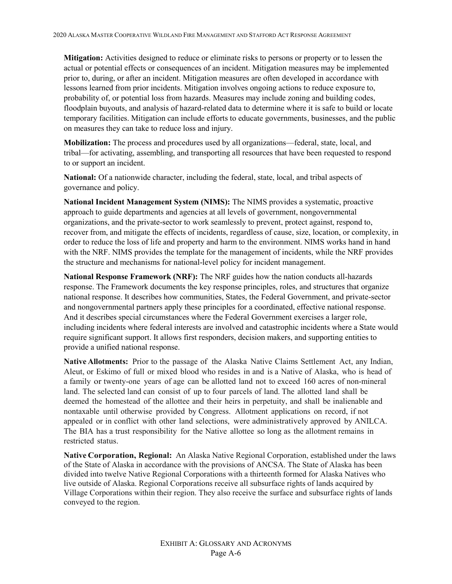**Mitigation:** Activities designed to reduce or eliminate risks to persons or property or to lessen the actual or potential effects or consequences of an incident. Mitigation measures may be implemented prior to, during, or after an incident. Mitigation measures are often developed in accordance with lessons learned from prior incidents. Mitigation involves ongoing actions to reduce exposure to, probability of, or potential loss from hazards. Measures may include zoning and building codes, floodplain buyouts, and analysis of hazard-related data to determine where it is safe to build or locate temporary facilities. Mitigation can include efforts to educate governments, businesses, and the public on measures they can take to reduce loss and injury.

**Mobilization:** The process and procedures used by all organizations—federal, state, local, and tribal—for activating, assembling, and transporting all resources that have been requested to respond to or support an incident.

**National:** Of a nationwide character, including the federal, state, local, and tribal aspects of governance and policy.

**National Incident Management System (NIMS):** The NIMS provides a systematic, proactive approach to guide departments and agencies at all levels of government, nongovernmental organizations, and the private-sector to work seamlessly to prevent, protect against, respond to, recover from, and mitigate the effects of incidents, regardless of cause, size, location, or complexity, in order to reduce the loss of life and property and harm to the environment. NIMS works hand in hand with the NRF. NIMS provides the template for the management of incidents, while the NRF provides the structure and mechanisms for national-level policy for incident management.

**National Response Framework (NRF):** The NRF guides how the nation conducts all-hazards response. The Framework documents the key response principles, roles, and structures that organize national response. It describes how communities, States, the Federal Government, and private-sector and nongovernmental partners apply these principles for a coordinated, effective national response. And it describes special circumstances where the Federal Government exercises a larger role, including incidents where federal interests are involved and catastrophic incidents where a State would require significant support. It allows first responders, decision makers, and supporting entities to provide a unified national response.

**Native Allotments:** Prior to the passage of the Alaska Native Claims Settlement Act, any Indian, Aleut, or Eskimo of full or mixed blood who resides in and is a Native of Alaska, who is head of a family or twenty-one years of age can be allotted land not to exceed 160 acres of non-mineral land. The selected land can consist of up to four parcels of land. The allotted land shall be deemed the homestead of the allottee and their heirs in perpetuity, and shall be inalienable and nontaxable until otherwise provided by Congress. Allotment applications on record, if not appealed or in conflict with other land selections, were administratively approved by ANILCA. The BIA has a trust responsibility for the Native allottee so long as the allotment remains in restricted status.

**Native Corporation, Regional:** An Alaska Native Regional Corporation, established under the laws of the State of Alaska in accordance with the provisions of ANCSA. The State of Alaska has been divided into twelve Native Regional Corporations with a thirteenth formed for Alaska Natives who live outside of Alaska. Regional Corporations receive all subsurface rights of lands acquired by Village Corporations within their region. They also receive the surface and subsurface rights of lands conveyed to the region.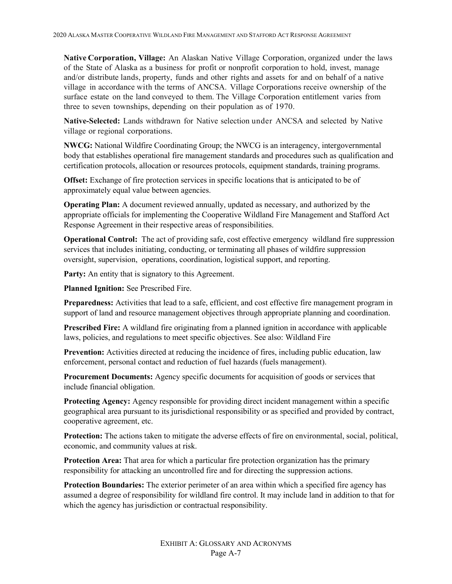**Native Corporation, Village:** An Alaskan Native Village Corporation, organized under the laws of the State of Alaska as a business for profit or nonprofit corporation to hold, invest, manage and/or distribute lands, property, funds and other rights and assets for and on behalf of a native village in accordance with the terms of ANCSA. Village Corporations receive ownership of the surface estate on the land conveyed to them. The Village Corporation entitlement varies from three to seven townships, depending on their population as of 1970.

**Native-Selected:** Lands withdrawn for Native selection under ANCSA and selected by Native village or regional corporations.

**NWCG:** National Wildfire Coordinating Group; the NWCG is an interagency, intergovernmental body that establishes operational fire management standards and procedures such as qualification and certification protocols, allocation or resources protocols, equipment standards, training programs.

**Offset:** Exchange of fire protection services in specific locations that is anticipated to be of approximately equal value between agencies.

**Operating Plan:** A document reviewed annually, updated as necessary, and authorized by the appropriate officials for implementing the Cooperative Wildland Fire Management and Stafford Act Response Agreement in their respective areas of responsibilities.

**Operational Control:** The act of providing safe, cost effective emergency wildland fire suppression services that includes initiating, conducting, or terminating all phases of wildfire suppression oversight, supervision, operations, coordination, logistical support, and reporting.

Party: An entity that is signatory to this Agreement.

**Planned Ignition:** See Prescribed Fire.

**Preparedness:** Activities that lead to a safe, efficient, and cost effective fire management program in support of land and resource management objectives through appropriate planning and coordination.

**Prescribed Fire:** A wildland fire originating from a planned ignition in accordance with applicable laws, policies, and regulations to meet specific objectives. See also: Wildland Fire

**Prevention:** Activities directed at reducing the incidence of fires, including public education, law enforcement, personal contact and reduction of fuel hazards (fuels management).

**Procurement Documents:** Agency specific documents for acquisition of goods or services that include financial obligation.

**Protecting Agency:** Agency responsible for providing direct incident management within a specific geographical area pursuant to its jurisdictional responsibility or as specified and provided by contract, cooperative agreement, etc.

**Protection:** The actions taken to mitigate the adverse effects of fire on environmental, social, political, economic, and community values at risk.

**Protection Area:** That area for which a particular fire protection organization has the primary responsibility for attacking an uncontrolled fire and for directing the suppression actions.

**Protection Boundaries:** The exterior perimeter of an area within which a specified fire agency has assumed a degree of responsibility for wildland fire control. It may include land in addition to that for which the agency has jurisdiction or contractual responsibility.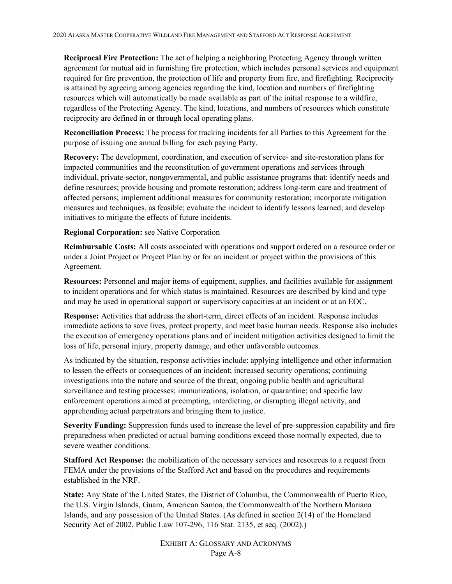**Reciprocal Fire Protection:** The act of helping a neighboring Protecting Agency through written agreement for mutual aid in furnishing fire protection, which includes personal services and equipment required for fire prevention, the protection of life and property from fire, and firefighting. Reciprocity is attained by agreeing among agencies regarding the kind, location and numbers of firefighting resources which will automatically be made available as part of the initial response to a wildfire, regardless of the Protecting Agency. The kind, locations, and numbers of resources which constitute reciprocity are defined in or through local operating plans.

**Reconciliation Process:** The process for tracking incidents for all Parties to this Agreement for the purpose of issuing one annual billing for each paying Party.

**Recovery:** The development, coordination, and execution of service- and site-restoration plans for impacted communities and the reconstitution of government operations and services through individual, private-sector, nongovernmental, and public assistance programs that: identify needs and define resources; provide housing and promote restoration; address long-term care and treatment of affected persons; implement additional measures for community restoration; incorporate mitigation measures and techniques, as feasible; evaluate the incident to identify lessons learned; and develop initiatives to mitigate the effects of future incidents.

**Regional Corporation:** see Native Corporation

**Reimbursable Costs:** All costs associated with operations and support ordered on a resource order or under a Joint Project or Project Plan by or for an incident or project within the provisions of this Agreement.

**Resources:** Personnel and major items of equipment, supplies, and facilities available for assignment to incident operations and for which status is maintained. Resources are described by kind and type and may be used in operational support or supervisory capacities at an incident or at an EOC.

**Response:** Activities that address the short-term, direct effects of an incident. Response includes immediate actions to save lives, protect property, and meet basic human needs. Response also includes the execution of emergency operations plans and of incident mitigation activities designed to limit the loss of life, personal injury, property damage, and other unfavorable outcomes.

As indicated by the situation, response activities include: applying intelligence and other information to lessen the effects or consequences of an incident; increased security operations; continuing investigations into the nature and source of the threat; ongoing public health and agricultural surveillance and testing processes; immunizations, isolation, or quarantine; and specific law enforcement operations aimed at preempting, interdicting, or disrupting illegal activity, and apprehending actual perpetrators and bringing them to justice.

**Severity Funding:** Suppression funds used to increase the level of pre-suppression capability and fire preparedness when predicted or actual burning conditions exceed those normally expected, due to severe weather conditions.

**Stafford Act Response:** the mobilization of the necessary services and resources to a request from FEMA under the provisions of the Stafford Act and based on the procedures and requirements established in the NRF.

**State:** Any State of the United States, the District of Columbia, the Commonwealth of Puerto Rico, the U.S. Virgin Islands, Guam, American Samoa, the Commonwealth of the Northern Mariana Islands, and any possession of the United States. (As defined in section 2(14) of the Homeland Security Act of 2002, Public Law 107-296, 116 Stat. 2135, et seq. (2002).)

> EXHIBIT A: GLOSSARY AND ACRONYMS Page A-8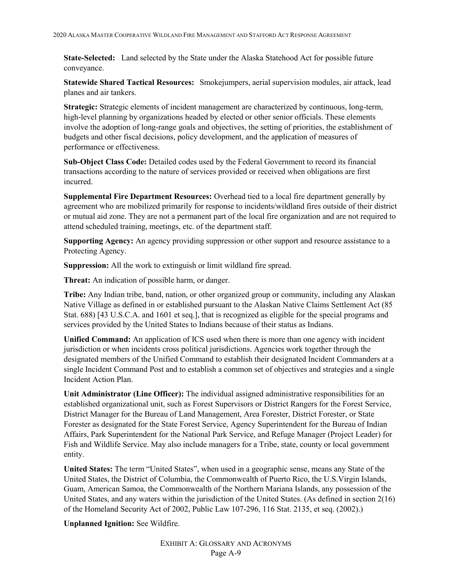**State-Selected:** Land selected by the State under the Alaska Statehood Act for possible future conveyance.

**Statewide Shared Tactical Resources:** Smokejumpers, aerial supervision modules, air attack, lead planes and air tankers.

**Strategic:** Strategic elements of incident management are characterized by continuous, long-term, high-level planning by organizations headed by elected or other senior officials. These elements involve the adoption of long-range goals and objectives, the setting of priorities, the establishment of budgets and other fiscal decisions, policy development, and the application of measures of performance or effectiveness.

**Sub-Object Class Code:** Detailed codes used by the Federal Government to record its financial transactions according to the nature of services provided or received when obligations are first incurred.

**Supplemental Fire Department Resources:** Overhead tied to a local fire department generally by agreement who are mobilized primarily for response to incidents/wildland fires outside of their district or mutual aid zone. They are not a permanent part of the local fire organization and are not required to attend scheduled training, meetings, etc. of the department staff.

**Supporting Agency:** An agency providing suppression or other support and resource assistance to a Protecting Agency.

**Suppression:** All the work to extinguish or limit wildland fire spread.

**Threat:** An indication of possible harm, or danger.

**Tribe:** Any Indian tribe, band, nation, or other organized group or community, including any Alaskan Native Village as defined in or established pursuant to the Alaskan Native Claims Settlement Act (85 Stat. 688) [43 U.S.C.A. and 1601 et seq.], that is recognized as eligible for the special programs and services provided by the United States to Indians because of their status as Indians.

**Unified Command:** An application of ICS used when there is more than one agency with incident jurisdiction or when incidents cross political jurisdictions. Agencies work together through the designated members of the Unified Command to establish their designated Incident Commanders at a single Incident Command Post and to establish a common set of objectives and strategies and a single Incident Action Plan.

**Unit Administrator (Line Officer):** The individual assigned administrative responsibilities for an established organizational unit, such as Forest Supervisors or District Rangers for the Forest Service, District Manager for the Bureau of Land Management, Area Forester, District Forester, or State Forester as designated for the State Forest Service, Agency Superintendent for the Bureau of Indian Affairs, Park Superintendent for the National Park Service, and Refuge Manager (Project Leader) for Fish and Wildlife Service. May also include managers for a Tribe, state, county or local government entity.

**United States:** The term "United States", when used in a geographic sense, means any State of the United States, the District of Columbia, the Commonwealth of Puerto Rico, the U.S.Virgin Islands, Guam, American Samoa, the Commonwealth of the Northern Mariana Islands, any possession of the United States, and any waters within the jurisdiction of the United States. (As defined in section 2(16) of the Homeland Security Act of 2002, Public Law 107-296, 116 Stat. 2135, et seq. (2002).)

**Unplanned Ignition:** See Wildfire.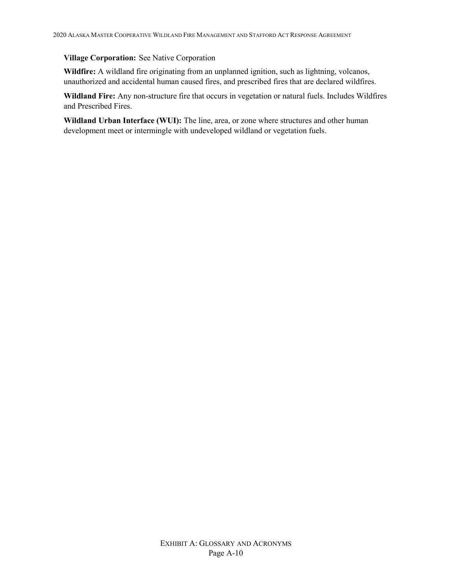#### **Village Corporation:** See Native Corporation

**Wildfire:** A wildland fire originating from an unplanned ignition, such as lightning, volcanos, unauthorized and accidental human caused fires, and prescribed fires that are declared wildfires.

**Wildland Fire:** Any non-structure fire that occurs in vegetation or natural fuels. Includes Wildfires and Prescribed Fires.

**Wildland Urban Interface (WUI):** The line, area, or zone where structures and other human development meet or intermingle with undeveloped wildland or vegetation fuels.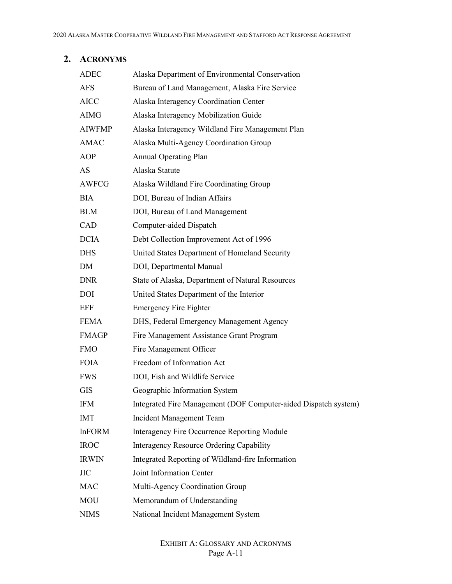# <span id="page-38-0"></span>**2. ACRONYMS**

| ADEC          | Alaska Department of Environmental Conservation                 |
|---------------|-----------------------------------------------------------------|
| <b>AFS</b>    | Bureau of Land Management, Alaska Fire Service                  |
| <b>AICC</b>   | Alaska Interagency Coordination Center                          |
| <b>AIMG</b>   | Alaska Interagency Mobilization Guide                           |
| <b>AIWFMP</b> | Alaska Interagency Wildland Fire Management Plan                |
| <b>AMAC</b>   | Alaska Multi-Agency Coordination Group                          |
| AOP           | <b>Annual Operating Plan</b>                                    |
| AS            | Alaska Statute                                                  |
| <b>AWFCG</b>  | Alaska Wildland Fire Coordinating Group                         |
| <b>BIA</b>    | DOI, Bureau of Indian Affairs                                   |
| <b>BLM</b>    | DOI, Bureau of Land Management                                  |
| <b>CAD</b>    | Computer-aided Dispatch                                         |
| <b>DCIA</b>   | Debt Collection Improvement Act of 1996                         |
| <b>DHS</b>    | United States Department of Homeland Security                   |
| DM            | DOI, Departmental Manual                                        |
| <b>DNR</b>    | State of Alaska, Department of Natural Resources                |
| <b>DOI</b>    | United States Department of the Interior                        |
| <b>EFF</b>    | <b>Emergency Fire Fighter</b>                                   |
| <b>FEMA</b>   | DHS, Federal Emergency Management Agency                        |
| <b>FMAGP</b>  | Fire Management Assistance Grant Program                        |
| <b>FMO</b>    | Fire Management Officer                                         |
| <b>FOIA</b>   | Freedom of Information Act                                      |
| <b>FWS</b>    | DOI, Fish and Wildlife Service                                  |
| GIS           | Geographic Information System                                   |
| <b>IFM</b>    | Integrated Fire Management (DOF Computer-aided Dispatch system) |
| <b>IMT</b>    | Incident Management Team                                        |
| <b>InFORM</b> | Interagency Fire Occurrence Reporting Module                    |
| <b>IROC</b>   | <b>Interagency Resource Ordering Capability</b>                 |
| <b>IRWIN</b>  | Integrated Reporting of Wildland-fire Information               |
| <b>JIC</b>    | Joint Information Center                                        |
| <b>MAC</b>    | Multi-Agency Coordination Group                                 |
| <b>MOU</b>    | Memorandum of Understanding                                     |
| <b>NIMS</b>   | National Incident Management System                             |
|               |                                                                 |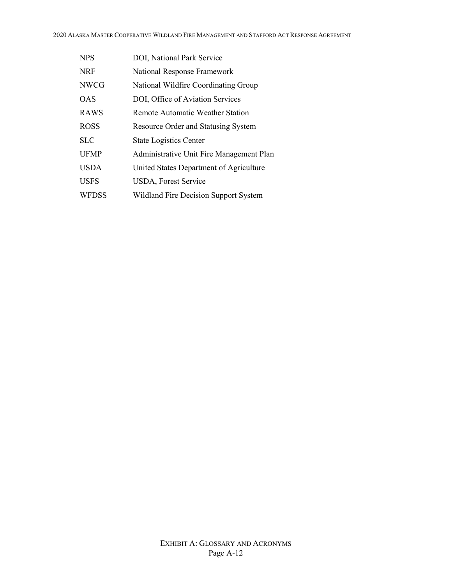| <b>NPS</b>   | DOI, National Park Service               |
|--------------|------------------------------------------|
| <b>NRF</b>   | National Response Framework              |
| <b>NWCG</b>  | National Wildfire Coordinating Group     |
| <b>OAS</b>   | DOI, Office of Aviation Services         |
| <b>RAWS</b>  | Remote Automatic Weather Station         |
| <b>ROSS</b>  | Resource Order and Statusing System      |
| <b>SLC</b>   | <b>State Logistics Center</b>            |
| <b>UFMP</b>  | Administrative Unit Fire Management Plan |
| <b>USDA</b>  | United States Department of Agriculture  |
| <b>USFS</b>  | USDA, Forest Service                     |
| <b>WFDSS</b> | Wildland Fire Decision Support System    |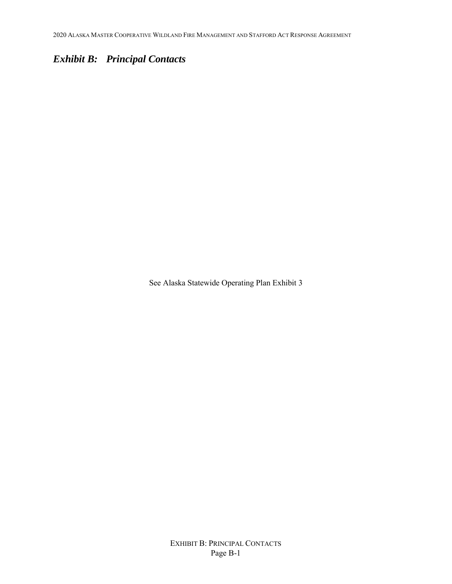# <span id="page-40-0"></span>*Exhibit B: Principal Contacts*

See Alaska Statewide Operating Plan Exhibit 3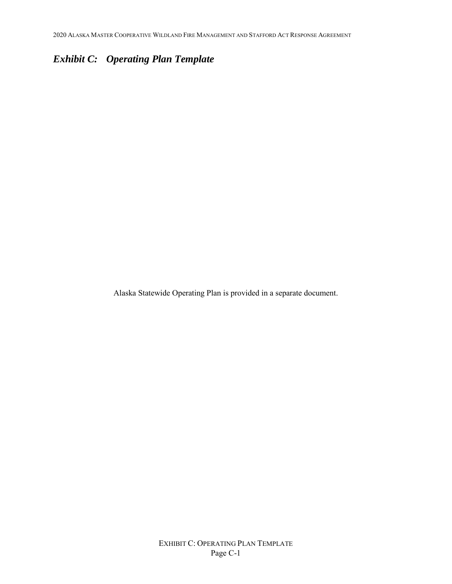# <span id="page-41-0"></span>*Exhibit C: Operating Plan Template*

Alaska Statewide Operating Plan is provided in a separate document.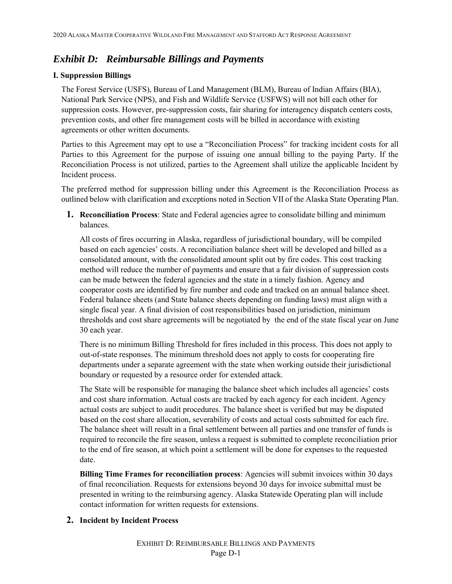# <span id="page-42-0"></span>*Exhibit D: Reimbursable Billings and Payments*

#### **I. Suppression Billings**

The Forest Service (USFS), Bureau of Land Management (BLM), Bureau of Indian Affairs (BIA), National Park Service (NPS), and Fish and Wildlife Service (USFWS) will not bill each other for suppression costs. However, pre-suppression costs, fair sharing for interagency dispatch centers costs, prevention costs, and other fire management costs will be billed in accordance with existing agreements or other written documents.

Parties to this Agreement may opt to use a "Reconciliation Process" for tracking incident costs for all Parties to this Agreement for the purpose of issuing one annual billing to the paying Party. If the Reconciliation Process is not utilized, parties to the Agreement shall utilize the applicable Incident by Incident process.

The preferred method for suppression billing under this Agreement is the Reconciliation Process as outlined below with clarification and exceptions noted in Section VII of the Alaska State Operating Plan.

**1. Reconciliation Process**: State and Federal agencies agree to consolidate billing and minimum balances.

All costs of fires occurring in Alaska, regardless of jurisdictional boundary, will be compiled based on each agencies' costs. A reconciliation balance sheet will be developed and billed as a consolidated amount, with the consolidated amount split out by fire codes. This cost tracking method will reduce the number of payments and ensure that a fair division of suppression costs can be made between the federal agencies and the state in a timely fashion. Agency and cooperator costs are identified by fire number and code and tracked on an annual balance sheet. Federal balance sheets (and State balance sheets depending on funding laws) must align with a single fiscal year. A final division of cost responsibilities based on jurisdiction, minimum thresholds and cost share agreements will be negotiated by the end of the state fiscal year on June 30 each year.

There is no minimum Billing Threshold for fires included in this process. This does not apply to out-of-state responses. The minimum threshold does not apply to costs for cooperating fire departments under a separate agreement with the state when working outside their jurisdictional boundary or requested by a resource order for extended attack.

The State will be responsible for managing the balance sheet which includes all agencies' costs and cost share information. Actual costs are tracked by each agency for each incident. Agency actual costs are subject to audit procedures. The balance sheet is verified but may be disputed based on the cost share allocation, severability of costs and actual costs submitted for each fire. The balance sheet will result in a final settlement between all parties and one transfer of funds is required to reconcile the fire season, unless a request is submitted to complete reconciliation prior to the end of fire season, at which point a settlement will be done for expenses to the requested date.

**Billing Time Frames for reconciliation process**: Agencies will submit invoices within 30 days of final reconciliation. Requests for extensions beyond 30 days for invoice submittal must be presented in writing to the reimbursing agency. Alaska Statewide Operating plan will include contact information for written requests for extensions.

#### **2. Incident by Incident Process**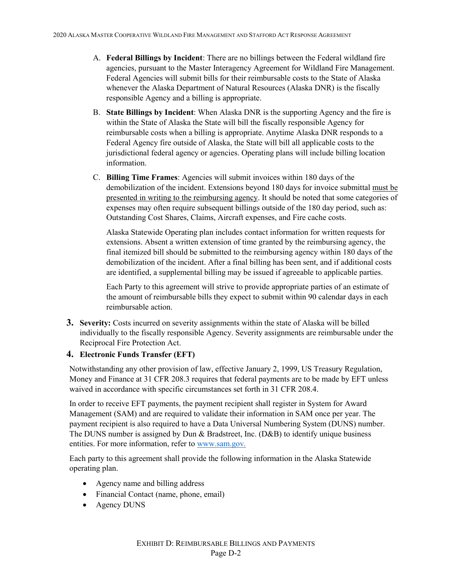- A. **Federal Billings by Incident**: There are no billings between the Federal wildland fire agencies, pursuant to the Master Interagency Agreement for Wildland Fire Management. Federal Agencies will submit bills for their reimbursable costs to the State of Alaska whenever the Alaska Department of Natural Resources (Alaska DNR) is the fiscally responsible Agency and a billing is appropriate.
- B. **State Billings by Incident**: When Alaska DNR is the supporting Agency and the fire is within the State of Alaska the State will bill the fiscally responsible Agency for reimbursable costs when a billing is appropriate. Anytime Alaska DNR responds to a Federal Agency fire outside of Alaska, the State will bill all applicable costs to the jurisdictional federal agency or agencies. Operating plans will include billing location information.
- C. **Billing Time Frames**: Agencies will submit invoices within 180 days of the demobilization of the incident. Extensions beyond 180 days for invoice submittal must be presented in writing to the reimbursing agency. It should be noted that some categories of expenses may often require subsequent billings outside of the 180 day period, such as: Outstanding Cost Shares, Claims, Aircraft expenses, and Fire cache costs.

Alaska Statewide Operating plan includes contact information for written requests for extensions. Absent a written extension of time granted by the reimbursing agency, the final itemized bill should be submitted to the reimbursing agency within 180 days of the demobilization of the incident. After a final billing has been sent, and if additional costs are identified, a supplemental billing may be issued if agreeable to applicable parties.

Each Party to this agreement will strive to provide appropriate parties of an estimate of the amount of reimbursable bills they expect to submit within 90 calendar days in each reimbursable action.

**3. Severity:** Costs incurred on severity assignments within the state of Alaska will be billed individually to the fiscally responsible Agency. Severity assignments are reimbursable under the Reciprocal Fire Protection Act.

#### **4. Electronic Funds Transfer (EFT)**

Notwithstanding any other provision of law, effective January 2, 1999, US Treasury Regulation, Money and Finance at 31 CFR 208.3 requires that federal payments are to be made by EFT unless waived in accordance with specific circumstances set forth in 31 CFR 208.4.

In order to receive EFT payments, the payment recipient shall register in System for Award Management (SAM) and are required to validate their information in SAM once per year. The payment recipient is also required to have a Data Universal Numbering System (DUNS) number. The DUNS number is assigned by Dun & Bradstreet, Inc. (D&B) to identify unique business entities. For more information, refer to [www.sam.gov.](http://www.sam.gov/)

Each party to this agreement shall provide the following information in the Alaska Statewide operating plan.

- Agency name and billing address
- Financial Contact (name, phone, email)
- Agency DUNS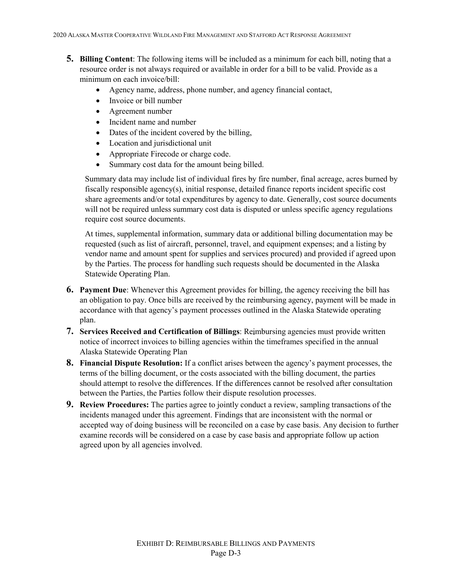- **5. Billing Content**: The following items will be included as a minimum for each bill, noting that a resource order is not always required or available in order for a bill to be valid. Provide as a minimum on each invoice/bill:
	- Agency name, address, phone number, and agency financial contact,
	- Invoice or bill number
	- Agreement number
	- Incident name and number
	- Dates of the incident covered by the billing,
	- Location and jurisdictional unit
	- Appropriate Firecode or charge code.
	- Summary cost data for the amount being billed.

Summary data may include list of individual fires by fire number, final acreage, acres burned by fiscally responsible agency(s), initial response, detailed finance reports incident specific cost share agreements and/or total expenditures by agency to date. Generally, cost source documents will not be required unless summary cost data is disputed or unless specific agency regulations require cost source documents.

At times, supplemental information, summary data or additional billing documentation may be requested (such as list of aircraft, personnel, travel, and equipment expenses; and a listing by vendor name and amount spent for supplies and services procured) and provided if agreed upon by the Parties. The process for handling such requests should be documented in the Alaska Statewide Operating Plan.

- **6. Payment Due**: Whenever this Agreement provides for billing, the agency receiving the bill has an obligation to pay. Once bills are received by the reimbursing agency, payment will be made in accordance with that agency's payment processes outlined in the Alaska Statewide operating plan.
- **7. Services Received and Certification of Billings**: Reimbursing agencies must provide written notice of incorrect invoices to billing agencies within the timeframes specified in the annual Alaska Statewide Operating Plan
- **8. Financial Dispute Resolution:** If a conflict arises between the agency's payment processes, the terms of the billing document, or the costs associated with the billing document, the parties should attempt to resolve the differences. If the differences cannot be resolved after consultation between the Parties, the Parties follow their dispute resolution processes.
- **9. Review Procedures:** The parties agree to jointly conduct a review, sampling transactions of the incidents managed under this agreement. Findings that are inconsistent with the normal or accepted way of doing business will be reconciled on a case by case basis. Any decision to further examine records will be considered on a case by case basis and appropriate follow up action agreed upon by all agencies involved.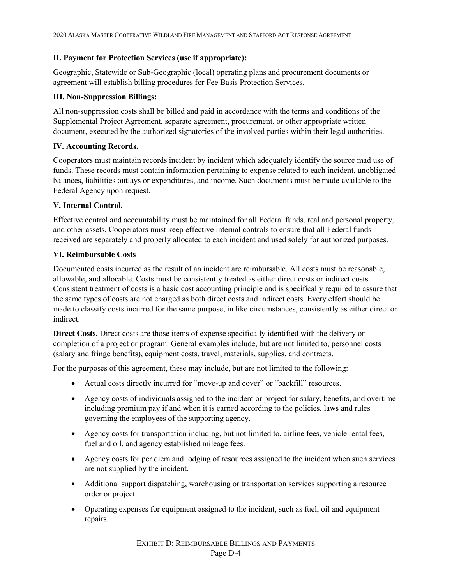#### **II. Payment for Protection Services (use if appropriate):**

Geographic, Statewide or Sub-Geographic (local) operating plans and procurement documents or agreement will establish billing procedures for Fee Basis Protection Services.

#### **III. Non-Suppression Billings:**

All non-suppression costs shall be billed and paid in accordance with the terms and conditions of the Supplemental Project Agreement, separate agreement, procurement, or other appropriate written document, executed by the authorized signatories of the involved parties within their legal authorities.

#### **IV. Accounting Records.**

Cooperators must maintain records incident by incident which adequately identify the source mad use of funds. These records must contain information pertaining to expense related to each incident, unobligated balances, liabilities outlays or expenditures, and income. Such documents must be made available to the Federal Agency upon request.

#### **V. Internal Control.**

Effective control and accountability must be maintained for all Federal funds, real and personal property, and other assets. Cooperators must keep effective internal controls to ensure that all Federal funds received are separately and properly allocated to each incident and used solely for authorized purposes.

#### **VI. Reimbursable Costs**

Documented costs incurred as the result of an incident are reimbursable. All costs must be reasonable, allowable, and allocable. Costs must be consistently treated as either direct costs or indirect costs. Consistent treatment of costs is a basic cost accounting principle and is specifically required to assure that the same types of costs are not charged as both direct costs and indirect costs. Every effort should be made to classify costs incurred for the same purpose, in like circumstances, consistently as either direct or indirect.

**Direct Costs.** Direct costs are those items of expense specifically identified with the delivery or completion of a project or program. General examples include, but are not limited to, personnel costs (salary and fringe benefits), equipment costs, travel, materials, supplies, and contracts.

For the purposes of this agreement, these may include, but are not limited to the following:

- Actual costs directly incurred for "move-up and cover" or "backfill" resources.
- Agency costs of individuals assigned to the incident or project for salary, benefits, and overtime including premium pay if and when it is earned according to the policies, laws and rules governing the employees of the supporting agency.
- Agency costs for transportation including, but not limited to, airline fees, vehicle rental fees, fuel and oil, and agency established mileage fees.
- Agency costs for per diem and lodging of resources assigned to the incident when such services are not supplied by the incident.
- Additional support dispatching, warehousing or transportation services supporting a resource order or project.
- Operating expenses for equipment assigned to the incident, such as fuel, oil and equipment repairs.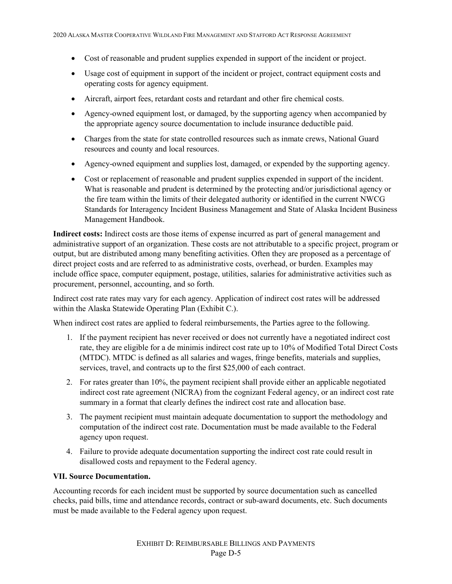- Cost of reasonable and prudent supplies expended in support of the incident or project.
- Usage cost of equipment in support of the incident or project, contract equipment costs and operating costs for agency equipment.
- Aircraft, airport fees, retardant costs and retardant and other fire chemical costs.
- Agency-owned equipment lost, or damaged, by the supporting agency when accompanied by the appropriate agency source documentation to include insurance deductible paid.
- Charges from the state for state controlled resources such as inmate crews, National Guard resources and county and local resources.
- Agency-owned equipment and supplies lost, damaged, or expended by the supporting agency.
- Cost or replacement of reasonable and prudent supplies expended in support of the incident. What is reasonable and prudent is determined by the protecting and/or jurisdictional agency or the fire team within the limits of their delegated authority or identified in the current NWCG Standards for Interagency Incident Business Management and State of Alaska Incident Business Management Handbook.

**Indirect costs:** Indirect costs are those items of expense incurred as part of general management and administrative support of an organization. These costs are not attributable to a specific project, program or output, but are distributed among many benefiting activities. Often they are proposed as a percentage of direct project costs and are referred to as administrative costs, overhead, or burden. Examples may include office space, computer equipment, postage, utilities, salaries for administrative activities such as procurement, personnel, accounting, and so forth.

Indirect cost rate rates may vary for each agency. Application of indirect cost rates will be addressed within the Alaska Statewide Operating Plan (Exhibit C.).

When indirect cost rates are applied to federal reimbursements, the Parties agree to the following.

- 1. If the payment recipient has never received or does not currently have a negotiated indirect cost rate, they are eligible for a de minimis indirect cost rate up to 10% of Modified Total Direct Costs (MTDC). MTDC is defined as all salaries and wages, fringe benefits, materials and supplies, services, travel, and contracts up to the first \$25,000 of each contract.
- 2. For rates greater than 10%, the payment recipient shall provide either an applicable negotiated indirect cost rate agreement (NICRA) from the cognizant Federal agency, or an indirect cost rate summary in a format that clearly defines the indirect cost rate and allocation base.
- 3. The payment recipient must maintain adequate documentation to support the methodology and computation of the indirect cost rate. Documentation must be made available to the Federal agency upon request.
- 4. Failure to provide adequate documentation supporting the indirect cost rate could result in disallowed costs and repayment to the Federal agency.

#### **VII. Source Documentation.**

Accounting records for each incident must be supported by source documentation such as cancelled checks, paid bills, time and attendance records, contract or sub-award documents, etc. Such documents must be made available to the Federal agency upon request.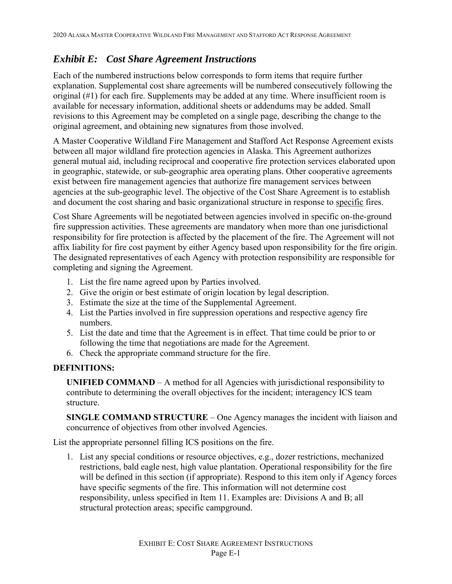# <span id="page-47-0"></span>*Exhibit E: Cost Share Agreement Instructions*

Each of the numbered instructions below corresponds to form items that require further explanation. Supplemental cost share agreements will be numbered consecutively following the original (#1) for each fire. Supplements may be added at any time. Where insufficient room is available for necessary information, additional sheets or addendums may be added. Small revisions to this Agreement may be completed on a single page, describing the change to the original agreement, and obtaining new signatures from those involved.

A Master Cooperative Wildland Fire Management and Stafford Act Response Agreement exists between all major wildland fire protection agencies in Alaska. This Agreement authorizes general mutual aid, including reciprocal and cooperative fire protection services elaborated upon in geographic, statewide, or sub-geographic area operating plans. Other cooperative agreements exist between fire management agencies that authorize fire management services between agencies at the sub-geographic level. The objective of the Cost Share Agreement is to establish and document the cost sharing and basic organizational structure in response to specific fires.

Cost Share Agreements will be negotiated between agencies involved in specific on-the-ground fire suppression activities. These agreements are mandatory when more than one jurisdictional responsibility for fire protection is affected by the placement of the fire. The Agreement will not affix liability for fire cost payment by either Agency based upon responsibility for the fire origin. The designated representatives of each Agency with protection responsibility are responsible for completing and signing the Agreement.

- 1. List the fire name agreed upon by Parties involved.
- 2. Give the origin or best estimate of origin location by legal description.
- 3. Estimate the size at the time of the Supplemental Agreement.
- 4. List the Parties involved in fire suppression operations and respective agency fire numbers.
- 5. List the date and time that the Agreement is in effect. That time could be prior to or following the time that negotiations are made for the Agreement.
- 6. Check the appropriate command structure for the fire.

# **DEFINITIONS:**

**UNIFIED COMMAND** – A method for all Agencies with jurisdictional responsibility to contribute to determining the overall objectives for the incident; interagency ICS team structure.

**SINGLE COMMAND STRUCTURE** – One Agency manages the incident with liaison and concurrence of objectives from other involved Agencies.

List the appropriate personnel filling ICS positions on the fire.

1. List any special conditions or resource objectives, e.g., dozer restrictions, mechanized restrictions, bald eagle nest, high value plantation. Operational responsibility for the fire will be defined in this section (if appropriate). Respond to this item only if Agency forces have specific segments of the fire. This information will not determine cost responsibility, unless specified in Item 11. Examples are: Divisions A and B; all structural protection areas; specific campground.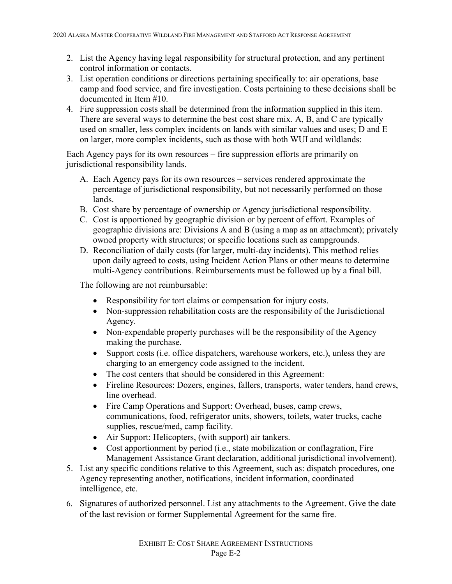- 2. List the Agency having legal responsibility for structural protection, and any pertinent control information or contacts.
- 3. List operation conditions or directions pertaining specifically to: air operations, base camp and food service, and fire investigation. Costs pertaining to these decisions shall be documented in Item #10.
- 4. Fire suppression costs shall be determined from the information supplied in this item. There are several ways to determine the best cost share mix. A, B, and C are typically used on smaller, less complex incidents on lands with similar values and uses; D and E on larger, more complex incidents, such as those with both WUI and wildlands:

Each Agency pays for its own resources – fire suppression efforts are primarily on jurisdictional responsibility lands.

- A. Each Agency pays for its own resources services rendered approximate the percentage of jurisdictional responsibility, but not necessarily performed on those lands.
- B. Cost share by percentage of ownership or Agency jurisdictional responsibility.
- C. Cost is apportioned by geographic division or by percent of effort. Examples of geographic divisions are: Divisions A and B (using a map as an attachment); privately owned property with structures; or specific locations such as campgrounds.
- D. Reconciliation of daily costs (for larger, multi-day incidents). This method relies upon daily agreed to costs, using Incident Action Plans or other means to determine multi-Agency contributions. Reimbursements must be followed up by a final bill.

The following are not reimbursable:

- Responsibility for tort claims or compensation for injury costs.
- Non-suppression rehabilitation costs are the responsibility of the Jurisdictional Agency.
- Non-expendable property purchases will be the responsibility of the Agency making the purchase.
- Support costs (i.e. office dispatchers, warehouse workers, etc.), unless they are charging to an emergency code assigned to the incident.
- The cost centers that should be considered in this Agreement:
- Fireline Resources: Dozers, engines, fallers, transports, water tenders, hand crews, line overhead.
- Fire Camp Operations and Support: Overhead, buses, camp crews, communications, food, refrigerator units, showers, toilets, water trucks, cache supplies, rescue/med, camp facility.
- Air Support: Helicopters, (with support) air tankers.
- Cost apportionment by period (i.e., state mobilization or conflagration, Fire Management Assistance Grant declaration, additional jurisdictional involvement).
- 5. List any specific conditions relative to this Agreement, such as: dispatch procedures, one Agency representing another, notifications, incident information, coordinated intelligence, etc.
- 6. Signatures of authorized personnel. List any attachments to the Agreement. Give the date of the last revision or former Supplemental Agreement for the same fire.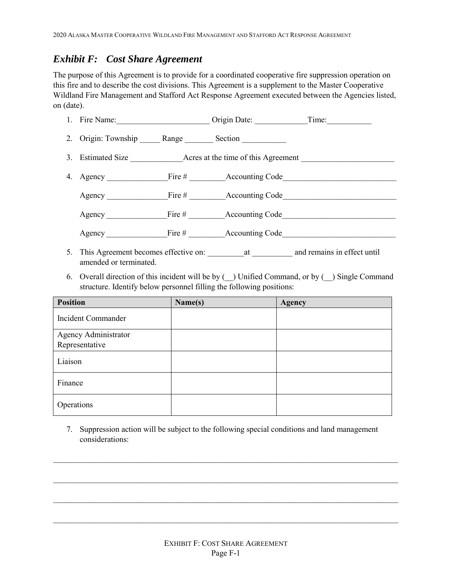# <span id="page-49-0"></span>*Exhibit F: Cost Share Agreement*

The purpose of this Agreement is to provide for a coordinated cooperative fire suppression operation on this fire and to describe the cost divisions. This Agreement is a supplement to the Master Cooperative Wildland Fire Management and Stafford Act Response Agreement executed between the Agencies listed, on (date).

- 1. Fire Name: Crigin Date: Time:
- 2. Origin: Township \_\_\_\_\_\_ Range \_\_\_\_\_\_\_\_ Section \_\_\_\_\_\_\_\_
- 3. Estimated Size \_\_\_\_\_\_\_\_\_\_\_\_\_Acres at the time of this Agreement \_\_\_\_\_\_\_\_\_\_\_\_\_\_\_\_\_\_\_\_\_\_\_
- 4. Agency Fire # Accounting Code Agency Fire # Accounting Code Agency Fire # Accounting Code Agency \_\_\_\_\_\_\_\_\_\_\_\_\_\_\_Fire # \_\_\_\_\_\_\_\_\_Accounting Code\_\_\_\_\_\_\_\_\_\_\_\_\_\_\_\_\_\_\_\_\_\_\_\_\_\_\_\_
- 5. This Agreement becomes effective on:  $\qquad \qquad$  at  $\qquad \qquad$  and remains in effect until amended or terminated.
- 6. Overall direction of this incident will be by (\_\_) Unified Command, or by (\_\_) Single Command structure. Identify below personnel filling the following positions:

| <b>Position</b>      | Name(s) | <b>Agency</b> |
|----------------------|---------|---------------|
| Incident Commander   |         |               |
| Agency Administrator |         |               |
| Representative       |         |               |
| Liaison              |         |               |
| Finance              |         |               |
| Operations           |         |               |

7. Suppression action will be subject to the following special conditions and land management considerations:

 $\_$  , and the contribution of the contribution of the contribution of the contribution of  $\mathcal{L}_\text{max}$ 

\_\_\_\_\_\_\_\_\_\_\_\_\_\_\_\_\_\_\_\_\_\_\_\_\_\_\_\_\_\_\_\_\_\_\_\_\_\_\_\_\_\_\_\_\_\_\_\_\_\_\_\_\_\_\_\_\_\_\_\_\_\_\_\_\_\_\_\_\_\_\_\_\_\_\_\_\_\_\_\_\_\_\_\_\_

\_\_\_\_\_\_\_\_\_\_\_\_\_\_\_\_\_\_\_\_\_\_\_\_\_\_\_\_\_\_\_\_\_\_\_\_\_\_\_\_\_\_\_\_\_\_\_\_\_\_\_\_\_\_\_\_\_\_\_\_\_\_\_\_\_\_\_\_\_\_\_\_\_\_\_\_\_\_\_\_\_\_\_\_\_

 $\_$  , and the contribution of the contribution of the contribution of the contribution of  $\mathcal{L}_\text{max}$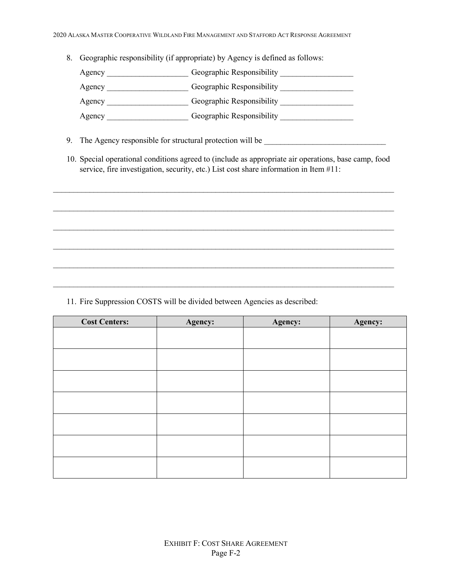8. Geographic responsibility (if appropriate) by Agency is defined as follows:

| Agency | Geographic Responsibility |
|--------|---------------------------|
| Agency | Geographic Responsibility |
| Agency | Geographic Responsibility |
| Agency | Geographic Responsibility |

- 9. The Agency responsible for structural protection will be \_\_\_\_\_\_\_\_\_\_\_\_\_\_\_\_\_\_\_\_\_
- 10. Special operational conditions agreed to (include as appropriate air operations, base camp, food service, fire investigation, security, etc.) List cost share information in Item #11:

\_\_\_\_\_\_\_\_\_\_\_\_\_\_\_\_\_\_\_\_\_\_\_\_\_\_\_\_\_\_\_\_\_\_\_\_\_\_\_\_\_\_\_\_\_\_\_\_\_\_\_\_\_\_\_\_\_\_\_\_\_\_\_\_\_\_\_\_\_\_\_\_\_\_\_\_\_\_\_\_\_\_\_\_

 $\mathcal{L}_\text{max}$  , and the contribution of the contribution of the contribution of the contribution of the contribution of the contribution of the contribution of the contribution of the contribution of the contribution of t

 $\mathcal{L}_\text{max}$  , and the contribution of the contribution of the contribution of the contribution of the contribution of the contribution of the contribution of the contribution of the contribution of the contribution of t

\_\_\_\_\_\_\_\_\_\_\_\_\_\_\_\_\_\_\_\_\_\_\_\_\_\_\_\_\_\_\_\_\_\_\_\_\_\_\_\_\_\_\_\_\_\_\_\_\_\_\_\_\_\_\_\_\_\_\_\_\_\_\_\_\_\_\_\_\_\_\_\_\_\_\_\_\_\_\_\_\_\_\_\_

 $\mathcal{L}_\text{max}$  , and the contribution of the contribution of the contribution of the contribution of the contribution of the contribution of the contribution of the contribution of the contribution of the contribution of t

\_\_\_\_\_\_\_\_\_\_\_\_\_\_\_\_\_\_\_\_\_\_\_\_\_\_\_\_\_\_\_\_\_\_\_\_\_\_\_\_\_\_\_\_\_\_\_\_\_\_\_\_\_\_\_\_\_\_\_\_\_\_\_\_\_\_\_\_\_\_\_\_\_\_\_\_\_\_\_\_\_\_\_\_

11. Fire Suppression COSTS will be divided between Agencies as described:

| <b>Cost Centers:</b> | Agency: | Agency: | Agency: |
|----------------------|---------|---------|---------|
|                      |         |         |         |
|                      |         |         |         |
|                      |         |         |         |
|                      |         |         |         |
|                      |         |         |         |
|                      |         |         |         |
|                      |         |         |         |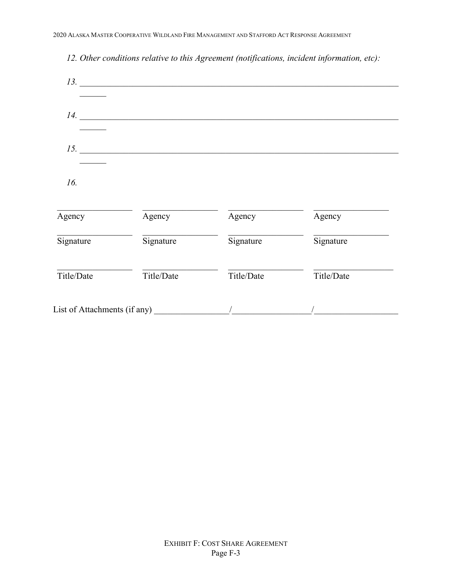|                              | 13.        |            |            |
|------------------------------|------------|------------|------------|
|                              |            |            |            |
|                              | 15.        |            |            |
| 16.                          |            |            |            |
| Agency                       | Agency     | Agency     | Agency     |
| Signature                    | Signature  | Signature  | Signature  |
| Title/Date                   | Title/Date | Title/Date | Title/Date |
| List of Attachments (if any) |            |            |            |

*12. Other conditions relative to this Agreement (notifications, incident information, etc):*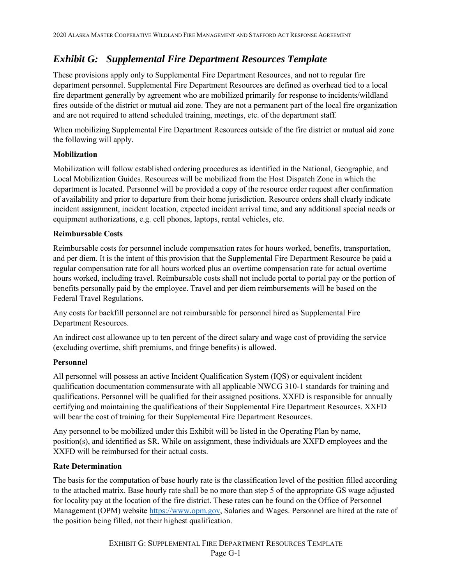# <span id="page-52-0"></span>*Exhibit G: Supplemental Fire Department Resources Template*

These provisions apply only to Supplemental Fire Department Resources, and not to regular fire department personnel. Supplemental Fire Department Resources are defined as overhead tied to a local fire department generally by agreement who are mobilized primarily for response to incidents/wildland fires outside of the district or mutual aid zone. They are not a permanent part of the local fire organization and are not required to attend scheduled training, meetings, etc. of the department staff.

When mobilizing Supplemental Fire Department Resources outside of the fire district or mutual aid zone the following will apply.

#### **Mobilization**

Mobilization will follow established ordering procedures as identified in the National, Geographic, and Local Mobilization Guides. Resources will be mobilized from the Host Dispatch Zone in which the department is located. Personnel will be provided a copy of the resource order request after confirmation of availability and prior to departure from their home jurisdiction. Resource orders shall clearly indicate incident assignment, incident location, expected incident arrival time, and any additional special needs or equipment authorizations, e.g. cell phones, laptops, rental vehicles, etc.

#### **Reimbursable Costs**

Reimbursable costs for personnel include compensation rates for hours worked, benefits, transportation, and per diem. It is the intent of this provision that the Supplemental Fire Department Resource be paid a regular compensation rate for all hours worked plus an overtime compensation rate for actual overtime hours worked, including travel. Reimbursable costs shall not include portal to portal pay or the portion of benefits personally paid by the employee. Travel and per diem reimbursements will be based on the Federal Travel Regulations.

Any costs for backfill personnel are not reimbursable for personnel hired as Supplemental Fire Department Resources.

An indirect cost allowance up to ten percent of the direct salary and wage cost of providing the service (excluding overtime, shift premiums, and fringe benefits) is allowed.

#### **Personnel**

All personnel will possess an active Incident Qualification System (IQS) or equivalent incident qualification documentation commensurate with all applicable NWCG 310-1 standards for training and qualifications. Personnel will be qualified for their assigned positions. XXFD is responsible for annually certifying and maintaining the qualifications of their Supplemental Fire Department Resources. XXFD will bear the cost of training for their Supplemental Fire Department Resources.

Any personnel to be mobilized under this Exhibit will be listed in the Operating Plan by name, position(s), and identified as SR. While on assignment, these individuals are XXFD employees and the XXFD will be reimbursed for their actual costs.

#### **Rate Determination**

The basis for the computation of base hourly rate is the classification level of the position filled according to the attached matrix. Base hourly rate shall be no more than step 5 of the appropriate GS wage adjusted for locality pay at the location of the fire district. These rates can be found on the Office of Personnel Management (OPM) website [https://www.opm.gov,](https://www.opm.gov/) Salaries and Wages. Personnel are hired at the rate of the position being filled, not their highest qualification.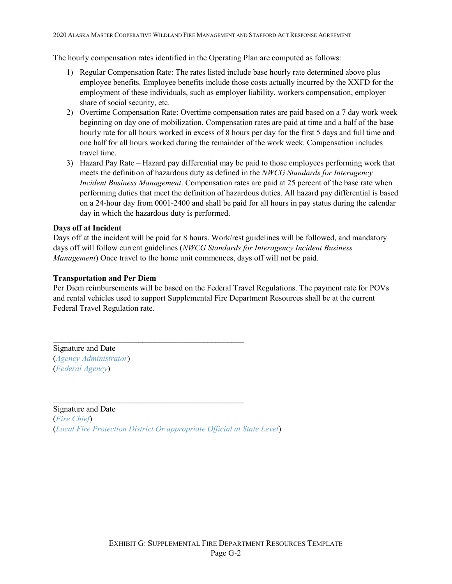The hourly compensation rates identified in the Operating Plan are computed as follows:

- 1) Regular Compensation Rate: The rates listed include base hourly rate determined above plus employee benefits. Employee benefits include those costs actually incurred by the XXFD for the employment of these individuals, such as employer liability, workers compensation, employer share of social security, etc.
- 2) Overtime Compensation Rate: Overtime compensation rates are paid based on a 7 day work week beginning on day one of mobilization. Compensation rates are paid at time and a half of the base hourly rate for all hours worked in excess of 8 hours per day for the first 5 days and full time and one half for all hours worked during the remainder of the work week. Compensation includes travel time.
- 3) Hazard Pay Rate Hazard pay differential may be paid to those employees performing work that meets the definition of hazardous duty as defined in the *NWCG Standards for Interagency Incident Business Management*. Compensation rates are paid at 25 percent of the base rate when performing duties that meet the definition of hazardous duties. All hazard pay differential is based on a 24-hour day from 0001-2400 and shall be paid for all hours in pay status during the calendar day in which the hazardous duty is performed.

#### **Days off at Incident**

Days off at the incident will be paid for 8 hours. Work/rest guidelines will be followed, and mandatory days off will follow current guidelines (*NWCG Standards for Interagency Incident Business Management*) Once travel to the home unit commences, days off will not be paid.

#### **Transportation and Per Diem**

Per Diem reimbursements will be based on the Federal Travel Regulations. The payment rate for POVs and rental vehicles used to support Supplemental Fire Department Resources shall be at the current Federal Travel Regulation rate.

Signature and Date (*Agency Administrator*) (*Federal Agency*)

Signature and Date (*Fire Chief*) (*Local Fire Protection District Or appropriate Official at State Level*)

\_\_\_\_\_\_\_\_\_\_\_\_\_\_\_\_\_\_\_\_\_\_\_\_\_\_\_\_\_\_\_\_\_\_\_\_\_\_\_\_\_\_\_\_\_\_\_

 $\mathcal{L}_\text{max}$  , and the set of the set of the set of the set of the set of the set of the set of the set of the set of the set of the set of the set of the set of the set of the set of the set of the set of the set of the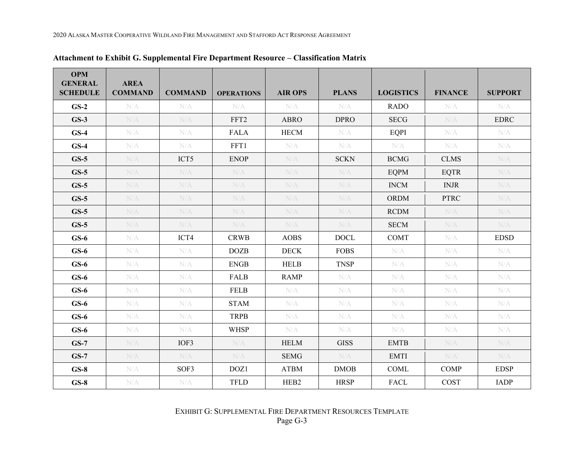| <b>OPM</b><br><b>GENERAL</b><br><b>SCHEDULE</b> | <b>AREA</b><br><b>COMMAND</b> | <b>COMMAND</b> | <b>OPERATIONS</b> | <b>AIR OPS</b>   | <b>PLANS</b> | <b>LOGISTICS</b> | <b>FINANCE</b> | <b>SUPPORT</b> |
|-------------------------------------------------|-------------------------------|----------------|-------------------|------------------|--------------|------------------|----------------|----------------|
| $GS-2$                                          | N/A                           | N/A            | N/A               | N/A              | N/A          | <b>RADO</b>      | N/A            | N/A            |
| $GS-3$                                          | N/A                           | N/A            | FFT2              | <b>ABRO</b>      | <b>DPRO</b>  | <b>SECG</b>      | N/A            | <b>EDRC</b>    |
| $GS-4$                                          | N/A                           | N/A            | <b>FALA</b>       | <b>HECM</b>      | N/A          | <b>EQPI</b>      | N/A            | N/A            |
| $GS-4$                                          | N/A                           | N/A            | FFT1              | N/A              | N/A          | N/A              | N/A            | N/A            |
| $GS-5$                                          | N/A                           | ICT5           | <b>ENOP</b>       | N/A              | <b>SCKN</b>  | <b>BCMG</b>      | <b>CLMS</b>    | $\rm N/A$      |
| $GS-5$                                          | $\rm N/A$                     | N/A            | $\rm N/A$         | N/A              | N/A          | <b>EQPM</b>      | <b>EQTR</b>    | N/A            |
| $GS-5$                                          | N/A                           | N/A            | N/A               | N/A              | N/A          | <b>INCM</b>      | <b>INJR</b>    | N/A            |
| $GS-5$                                          | $\rm N/A$                     | N/A            | N/A               | N/A              | N/A          | <b>ORDM</b>      | <b>PTRC</b>    | $\rm N/A$      |
| $GS-5$                                          | $\rm N/A$                     | N/A            | N/A               | N/A              | N/A          | <b>RCDM</b>      | N/A            | N/A            |
| $GS-5$                                          | N/A                           | N/A            | $\rm N/A$         | N/A              | N/A          | <b>SECM</b>      | N/A            | N/A            |
| $GS-6$                                          | N/A                           | ICT4           | <b>CRWB</b>       | <b>AOBS</b>      | <b>DOCL</b>  | <b>COMT</b>      | N/A            | <b>EDSD</b>    |
| $GS-6$                                          | N/A                           | N/A            | <b>DOZB</b>       | <b>DECK</b>      | <b>FOBS</b>  | N/A              | N/A            | N/A            |
| $GS-6$                                          | N/A                           | N/A            | <b>ENGB</b>       | <b>HELB</b>      | <b>TNSP</b>  | N/A              | N/A            | N/A            |
| $GS-6$                                          | N/A                           | N/A            | <b>FALB</b>       | <b>RAMP</b>      | N/A          | N/A              | N/A            | N/A            |
| $GS-6$                                          | $\rm N/A$                     | N/A            | <b>FELB</b>       | N/A              | N/A          | N/A              | N/A            | N/A            |
| $GS-6$                                          | N/A                           | N/A            | <b>STAM</b>       | N/A              | N/A          | N/A              | N/A            | N/A            |
| $GS-6$                                          | N/A                           | N/A            | <b>TRPB</b>       | N/A              | N/A          | N/A              | $\rm N/A$      | $\rm N/A$      |
| $GS-6$                                          | N/A                           | N/A            | <b>WHSP</b>       | N/A              | N/A          | N/A              | N/A            | N/A            |
| $GS-7$                                          | $\rm N/A$                     | IOF3           | ${\rm N/A}$       | <b>HELM</b>      | <b>GISS</b>  | <b>EMTB</b>      | N/A            | $\rm N/A$      |
| $GS-7$                                          | $\rm N/A$                     | N/A            | N/A               | <b>SEMG</b>      | N/A          | <b>EMTI</b>      | N/A            | N/A            |
| $GS-8$                                          | $\rm N/A$                     | SOF3           | DOZ1              | <b>ATBM</b>      | <b>DMOB</b>  | <b>COML</b>      | <b>COMP</b>    | <b>EDSP</b>    |
| $GS-8$                                          | N/A                           | N/A            | <b>TFLD</b>       | HEB <sub>2</sub> | <b>HRSP</b>  | <b>FACL</b>      | COST           | <b>IADP</b>    |

#### **Attachment to Exhibit G. Supplemental Fire Department Resource – Classification Matrix**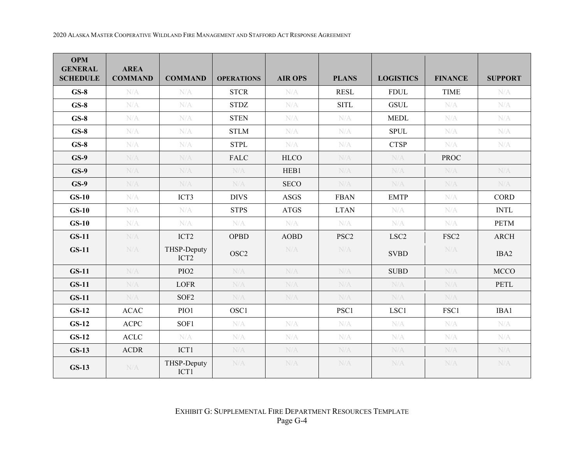| <b>OPM</b><br><b>GENERAL</b><br><b>SCHEDULE</b> | <b>AREA</b><br><b>COMMAND</b> | <b>COMMAND</b>                  | <b>OPERATIONS</b> | <b>AIR OPS</b> | <b>PLANS</b>     | <b>LOGISTICS</b> | <b>FINANCE</b>   | <b>SUPPORT</b> |
|-------------------------------------------------|-------------------------------|---------------------------------|-------------------|----------------|------------------|------------------|------------------|----------------|
| $GS-8$                                          | N/A                           | N/A                             | <b>STCR</b>       | N/A            | <b>RESL</b>      | <b>FDUL</b>      | <b>TIME</b>      | N/A            |
| $GS-8$                                          | N/A                           | N/A                             | <b>STDZ</b>       | N/A            | <b>SITL</b>      | <b>GSUL</b>      | N/A              | N/A            |
| $GS-8$                                          | N/A                           | N/A                             | <b>STEN</b>       | N/A            | N/A              | <b>MEDL</b>      | N/A              | N/A            |
| $GS-8$                                          | N/A                           | N/A                             | <b>STLM</b>       | N/A            | N/A              | <b>SPUL</b>      | N/A              | N/A            |
| $GS-8$                                          | N/A                           | N/A                             | <b>STPL</b>       | N/A            | N/A              | <b>CTSP</b>      | N/A              | N/A            |
| $GS-9$                                          | N/A                           | N/A                             | <b>FALC</b>       | <b>HLCO</b>    | N/A              | N/A              | <b>PROC</b>      |                |
| $GS-9$                                          | $\rm N/A$                     | $\rm N/A$                       | $\rm N/A$         | HEB1           | N/A              | N/A              | N/A              | N/A            |
| $GS-9$                                          | $\rm N/A$                     | $\rm N/A$                       | $\rm N/A$         | <b>SECO</b>    | $\rm N/A$        | $\rm N/A$        | N/A              | N/A            |
| $GS-10$                                         | N/A                           | ICT3                            | <b>DIVS</b>       | <b>ASGS</b>    | <b>FBAN</b>      | <b>EMTP</b>      | N/A              | <b>CORD</b>    |
| $GS-10$                                         | $\rm N/A$                     | $\rm N/A$                       | <b>STPS</b>       | <b>ATGS</b>    | <b>LTAN</b>      | N/A              | N/A              | <b>INTL</b>    |
| $GS-10$                                         | N/A                           | N/A                             | $\rm N/A$         | N/A            | N/A              | N/A              | N/A              | <b>PETM</b>    |
| $GS-11$                                         | N/A                           | ICT <sub>2</sub>                | <b>OPBD</b>       | <b>AOBD</b>    | PSC <sub>2</sub> | LSC <sub>2</sub> | FSC <sub>2</sub> | <b>ARCH</b>    |
| $GS-11$                                         | N/A                           | THSP-Deputy<br>ICT <sub>2</sub> | OSC <sub>2</sub>  | N/A            | $\rm N/A$        | <b>SVBD</b>      | N/A              | IBA2           |
| $GS-11$                                         | N/A                           | PIO <sub>2</sub>                | $\rm N/A$         | $\rm N/A$      | N/A              | <b>SUBD</b>      | N/A              | <b>MCCO</b>    |
| $GS-11$                                         | N/A                           | <b>LOFR</b>                     | N/A               | N/A            | N/A              | N/A              | N/A              | <b>PETL</b>    |
| $GS-11$                                         | N/A                           | SOF <sub>2</sub>                | N/A               | N/A            | N/A              | N/A              | N/A              |                |
| $GS-12$                                         | <b>ACAC</b>                   | PIO1                            | OSC1              |                | PSC1             | LSC1             | FSC1             | IBA1           |
| $GS-12$                                         | <b>ACPC</b>                   | SOF1                            | N/A               | N/A            | N/A              | N/A              | N/A              | N/A            |
| $GS-12$                                         | <b>ACLC</b>                   | N/A                             | N/A               | N/A            | $\rm N/A$        | N/A              | N/A              | N/A            |
| $GS-13$                                         | <b>ACDR</b>                   | ICT1                            | $\rm N/A$         | N/A            | N/A              | N/A              | N/A              | N/A            |
| $GS-13$                                         | $\rm N/A$                     | THSP-Deputy<br>ICT1             | N/A               | N/A            | N/A              | N/A              | N/A              | N/A            |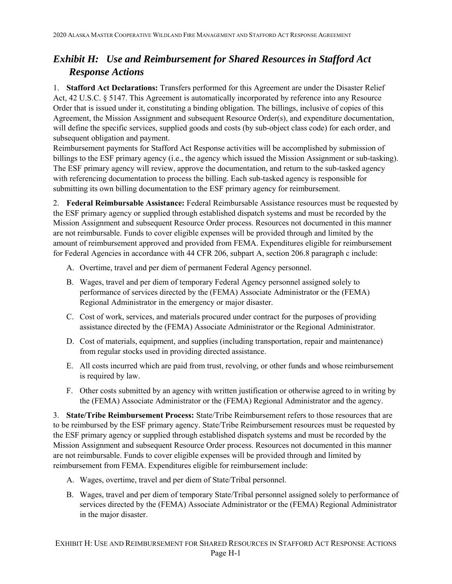# <span id="page-56-0"></span>*Exhibit H: Use and Reimbursement for Shared Resources in Stafford Act Response Actions*

1. **Stafford Act Declarations:** Transfers performed for this Agreement are under the Disaster Relief Act, 42 U.S.C. § 5147. This Agreement is automatically incorporated by reference into any Resource Order that is issued under it, constituting a binding obligation. The billings, inclusive of copies of this Agreement, the Mission Assignment and subsequent Resource Order(s), and expenditure documentation, will define the specific services, supplied goods and costs (by sub-object class code) for each order, and subsequent obligation and payment.

Reimbursement payments for Stafford Act Response activities will be accomplished by submission of billings to the ESF primary agency (i.e., the agency which issued the Mission Assignment or sub-tasking). The ESF primary agency will review, approve the documentation, and return to the sub-tasked agency with referencing documentation to process the billing. Each sub-tasked agency is responsible for submitting its own billing documentation to the ESF primary agency for reimbursement.

2. **Federal Reimbursable Assistance:** Federal Reimbursable Assistance resources must be requested by the ESF primary agency or supplied through established dispatch systems and must be recorded by the Mission Assignment and subsequent Resource Order process. Resources not documented in this manner are not reimbursable. Funds to cover eligible expenses will be provided through and limited by the amount of reimbursement approved and provided from FEMA. Expenditures eligible for reimbursement for Federal Agencies in accordance with 44 CFR 206, subpart A, section 206.8 paragraph c include:

- A. Overtime, travel and per diem of permanent Federal Agency personnel.
- B. Wages, travel and per diem of temporary Federal Agency personnel assigned solely to performance of services directed by the (FEMA) Associate Administrator or the (FEMA) Regional Administrator in the emergency or major disaster.
- C. Cost of work, services, and materials procured under contract for the purposes of providing assistance directed by the (FEMA) Associate Administrator or the Regional Administrator.
- D. Cost of materials, equipment, and supplies (including transportation, repair and maintenance) from regular stocks used in providing directed assistance.
- E. All costs incurred which are paid from trust, revolving, or other funds and whose reimbursement is required by law.
- F. Other costs submitted by an agency with written justification or otherwise agreed to in writing by the (FEMA) Associate Administrator or the (FEMA) Regional Administrator and the agency.

3. **State/Tribe Reimbursement Process:** State/Tribe Reimbursement refers to those resources that are to be reimbursed by the ESF primary agency. State/Tribe Reimbursement resources must be requested by the ESF primary agency or supplied through established dispatch systems and must be recorded by the Mission Assignment and subsequent Resource Order process. Resources not documented in this manner are not reimbursable. Funds to cover eligible expenses will be provided through and limited by reimbursement from FEMA. Expenditures eligible for reimbursement include:

- A. Wages, overtime, travel and per diem of State/Tribal personnel.
- B. Wages, travel and per diem of temporary State/Tribal personnel assigned solely to performance of services directed by the (FEMA) Associate Administrator or the (FEMA) Regional Administrator in the major disaster.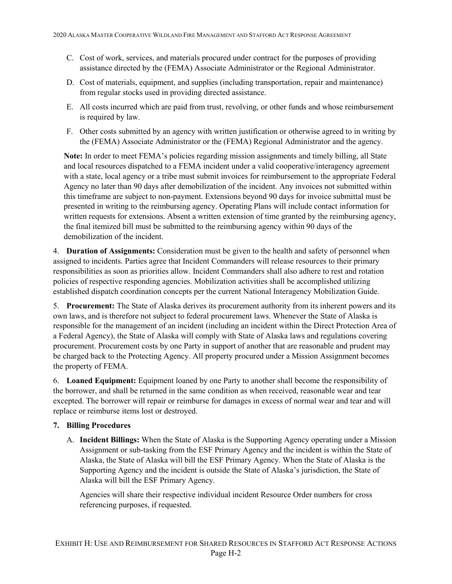- C. Cost of work, services, and materials procured under contract for the purposes of providing assistance directed by the (FEMA) Associate Administrator or the Regional Administrator.
- D. Cost of materials, equipment, and supplies (including transportation, repair and maintenance) from regular stocks used in providing directed assistance.
- E. All costs incurred which are paid from trust, revolving, or other funds and whose reimbursement is required by law.
- F. Other costs submitted by an agency with written justification or otherwise agreed to in writing by the (FEMA) Associate Administrator or the (FEMA) Regional Administrator and the agency.

**Note:** In order to meet FEMA's policies regarding mission assignments and timely billing, all State and local resources dispatched to a FEMA incident under a valid cooperative/interagency agreement with a state, local agency or a tribe must submit invoices for reimbursement to the appropriate Federal Agency no later than 90 days after demobilization of the incident. Any invoices not submitted within this timeframe are subject to non-payment. Extensions beyond 90 days for invoice submittal must be presented in writing to the reimbursing agency. Operating Plans will include contact information for written requests for extensions. Absent a written extension of time granted by the reimbursing agency, the final itemized bill must be submitted to the reimbursing agency within 90 days of the demobilization of the incident.

4. **Duration of Assignments:** Consideration must be given to the health and safety of personnel when assigned to incidents. Parties agree that Incident Commanders will release resources to their primary responsibilities as soon as priorities allow. Incident Commanders shall also adhere to rest and rotation policies of respective responding agencies. Mobilization activities shall be accomplished utilizing established dispatch coordination concepts per the current National Interagency Mobilization Guide.

5. **Procurement:** The State of Alaska derives its procurement authority from its inherent powers and its own laws, and is therefore not subject to federal procurement laws. Whenever the State of Alaska is responsible for the management of an incident (including an incident within the Direct Protection Area of a Federal Agency), the State of Alaska will comply with State of Alaska laws and regulations covering procurement. Procurement costs by one Party in support of another that are reasonable and prudent may be charged back to the Protecting Agency. All property procured under a Mission Assignment becomes the property of FEMA.

6. **Loaned Equipment:** Equipment loaned by one Party to another shall become the responsibility of the borrower, and shall be returned in the same condition as when received, reasonable wear and tear excepted. The borrower will repair or reimburse for damages in excess of normal wear and tear and will replace or reimburse items lost or destroyed.

#### **7. Billing Procedures**

A. **Incident Billings:** When the State of Alaska is the Supporting Agency operating under a Mission Assignment or sub-tasking from the ESF Primary Agency and the incident is within the State of Alaska, the State of Alaska will bill the ESF Primary Agency. When the State of Alaska is the Supporting Agency and the incident is outside the State of Alaska's jurisdiction, the State of Alaska will bill the ESF Primary Agency.

Agencies will share their respective individual incident Resource Order numbers for cross referencing purposes, if requested.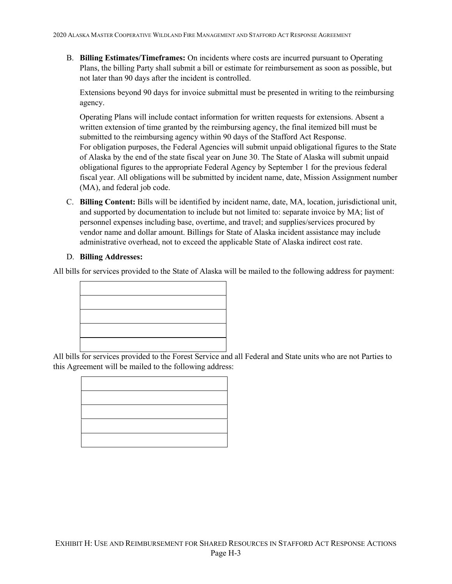B. **Billing Estimates/Timeframes:** On incidents where costs are incurred pursuant to Operating Plans, the billing Party shall submit a bill or estimate for reimbursement as soon as possible, but not later than 90 days after the incident is controlled.

Extensions beyond 90 days for invoice submittal must be presented in writing to the reimbursing agency.

Operating Plans will include contact information for written requests for extensions. Absent a written extension of time granted by the reimbursing agency, the final itemized bill must be submitted to the reimbursing agency within 90 days of the Stafford Act Response. For obligation purposes, the Federal Agencies will submit unpaid obligational figures to the State of Alaska by the end of the state fiscal year on June 30. The State of Alaska will submit unpaid obligational figures to the appropriate Federal Agency by September 1 for the previous federal fiscal year. All obligations will be submitted by incident name, date, Mission Assignment number (MA), and federal job code.

C. **Billing Content:** Bills will be identified by incident name, date, MA, location, jurisdictional unit, and supported by documentation to include but not limited to: separate invoice by MA; list of personnel expenses including base, overtime, and travel; and supplies/services procured by vendor name and dollar amount. Billings for State of Alaska incident assistance may include administrative overhead, not to exceed the applicable State of Alaska indirect cost rate.

#### D. **Billing Addresses:**

All bills for services provided to the State of Alaska will be mailed to the following address for payment:



All bills for services provided to the Forest Service and all Federal and State units who are not Parties to this Agreement will be mailed to the following address:

|                                                                                                                                                                                                                                      | the control of the control of the control of the control of the control of |  |  |
|--------------------------------------------------------------------------------------------------------------------------------------------------------------------------------------------------------------------------------------|----------------------------------------------------------------------------|--|--|
|                                                                                                                                                                                                                                      |                                                                            |  |  |
|                                                                                                                                                                                                                                      |                                                                            |  |  |
|                                                                                                                                                                                                                                      |                                                                            |  |  |
|                                                                                                                                                                                                                                      |                                                                            |  |  |
|                                                                                                                                                                                                                                      |                                                                            |  |  |
|                                                                                                                                                                                                                                      |                                                                            |  |  |
|                                                                                                                                                                                                                                      |                                                                            |  |  |
| <u> Andreas Andreas Andreas Andreas Andreas Andreas Andreas Andreas Andreas Andreas Andreas Andreas Andreas Andreas Andreas Andreas Andreas Andreas Andreas Andreas Andreas Andreas Andreas Andreas Andreas Andreas Andreas Andr</u> |                                                                            |  |  |
|                                                                                                                                                                                                                                      |                                                                            |  |  |
|                                                                                                                                                                                                                                      |                                                                            |  |  |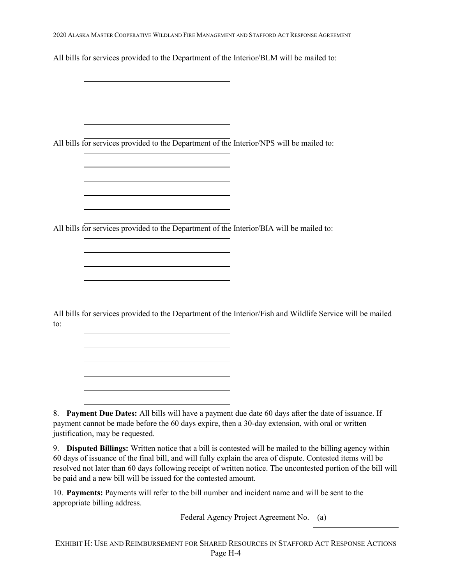All bills for services provided to the Department of the Interior/BLM will be mailed to:



All bills for services provided to the Department of the Interior/NPS will be mailed to:



All bills for services provided to the Department of the Interior/BIA will be mailed to:



All bills for services provided to the Department of the Interior/Fish and Wildlife Service will be mailed to:



8. **Payment Due Dates:** All bills will have a payment due date 60 days after the date of issuance. If payment cannot be made before the 60 days expire, then a 30-day extension, with oral or written justification, may be requested.

9. **Disputed Billings:** Written notice that a bill is contested will be mailed to the billing agency within 60 days of issuance of the final bill, and will fully explain the area of dispute. Contested items will be resolved not later than 60 days following receipt of written notice. The uncontested portion of the bill will be paid and a new bill will be issued for the contested amount.

10. **Payments:** Payments will refer to the bill number and incident name and will be sent to the appropriate billing address.

Federal Agency Project Agreement No. (a)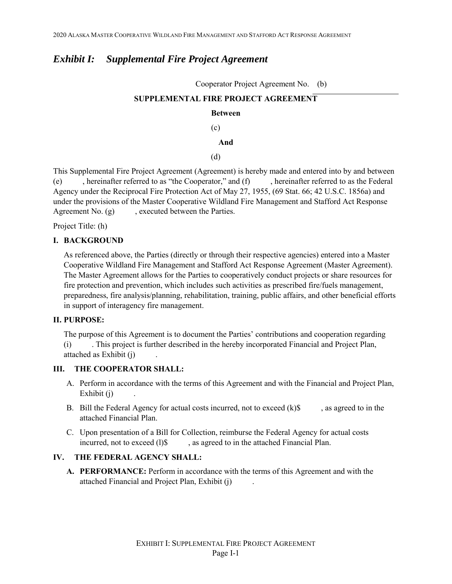# <span id="page-60-0"></span>*Exhibit I: Supplemental Fire Project Agreement*

Cooperator Project Agreement No. (b)

# **SUPPLEMENTAL FIRE PROJECT AGREEMENT**

#### **Between**

(c)

#### **And**

#### (d)

This Supplemental Fire Project Agreement (Agreement) is hereby made and entered into by and between (e) , hereinafter referred to as "the Cooperator," and (f) , hereinafter referred to as the Federal Agency under the Reciprocal Fire Protection Act of May 27, 1955, (69 Stat. 66; 42 U.S.C. 1856a) and under the provisions of the Master Cooperative Wildland Fire Management and Stafford Act Response Agreement No. (g) , executed between the Parties.

Project Title: (h)

#### **I. BACKGROUND**

As referenced above, the Parties (directly or through their respective agencies) entered into a Master Cooperative Wildland Fire Management and Stafford Act Response Agreement (Master Agreement). The Master Agreement allows for the Parties to cooperatively conduct projects or share resources for fire protection and prevention, which includes such activities as prescribed fire/fuels management, preparedness, fire analysis/planning, rehabilitation, training, public affairs, and other beneficial efforts in support of interagency fire management.

#### **II. PURPOSE:**

The purpose of this Agreement is to document the Parties' contributions and cooperation regarding (i) . This project is further described in the hereby incorporated Financial and Project Plan, attached as Exhibit (j) .

#### **III. THE COOPERATOR SHALL:**

- A. Perform in accordance with the terms of this Agreement and with the Financial and Project Plan, Exhibit (j)
- B. Bill the Federal Agency for actual costs incurred, not to exceed (k) \$, as agreed to in the attached Financial Plan.
- C. Upon presentation of a Bill for Collection, reimburse the Federal Agency for actual costs incurred, not to exceed (l) \$, as agreed to in the attached Financial Plan.

#### **IV. THE FEDERAL AGENCY SHALL:**

**A. PERFORMANCE:** Perform in accordance with the terms of this Agreement and with the attached Financial and Project Plan, Exhibit (j) .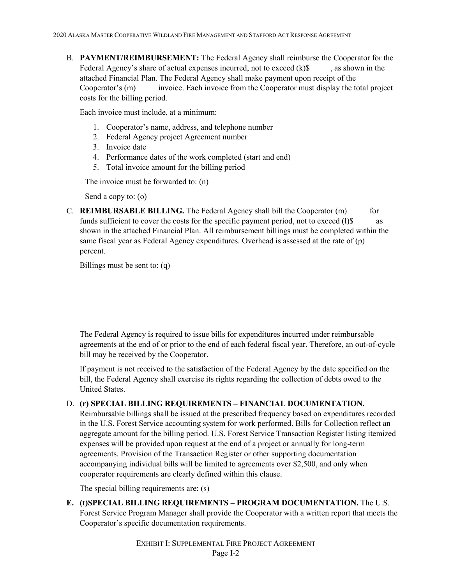B. **PAYMENT/REIMBURSEMENT:** The Federal Agency shall reimburse the Cooperator for the Federal Agency's share of actual expenses incurred, not to exceed  $(k)$ \$, as shown in the attached Financial Plan. The Federal Agency shall make payment upon receipt of the Cooperator's (m) invoice. Each invoice from the Cooperator must display the total project costs for the billing period.

Each invoice must include, at a minimum:

- 1. Cooperator's name, address, and telephone number
- 2. Federal Agency project Agreement number
- 3. Invoice date
- 4. Performance dates of the work completed (start and end)
- 5. Total invoice amount for the billing period

The invoice must be forwarded to: (n)

Send a copy to: (o)

C. **REIMBURSABLE BILLING.** The Federal Agency shall bill the Cooperator (m) for funds sufficient to cover the costs for the specific payment period, not to exceed (1) \$ as shown in the attached Financial Plan. All reimbursement billings must be completed within the same fiscal year as Federal Agency expenditures. Overhead is assessed at the rate of (p) percent.

Billings must be sent to: (q)

The Federal Agency is required to issue bills for expenditures incurred under reimbursable agreements at the end of or prior to the end of each federal fiscal year. Therefore, an out-of-cycle bill may be received by the Cooperator.

If payment is not received to the satisfaction of the Federal Agency by the date specified on the bill, the Federal Agency shall exercise its rights regarding the collection of debts owed to the United States.

#### D. **(r) SPECIAL BILLING REQUIREMENTS – FINANCIAL DOCUMENTATION.**

Reimbursable billings shall be issued at the prescribed frequency based on expenditures recorded in the U.S. Forest Service accounting system for work performed. Bills for Collection reflect an aggregate amount for the billing period. U.S. Forest Service Transaction Register listing itemized expenses will be provided upon request at the end of a project or annually for long-term agreements. Provision of the Transaction Register or other supporting documentation accompanying individual bills will be limited to agreements over \$2,500, and only when cooperator requirements are clearly defined within this clause.

The special billing requirements are: (s)

**E. (t)SPECIAL BILLING REQUIREMENTS – PROGRAM DOCUMENTATION.** The U.S. Forest Service Program Manager shall provide the Cooperator with a written report that meets the Cooperator's specific documentation requirements.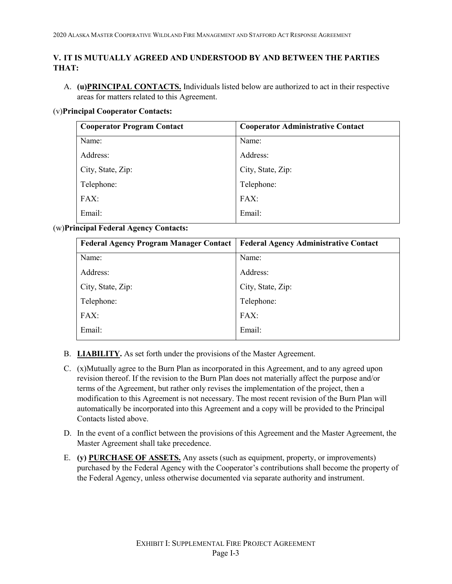#### **V. IT IS MUTUALLY AGREED AND UNDERSTOOD BY AND BETWEEN THE PARTIES THAT:**

A. **(u)PRINCIPAL CONTACTS.** Individuals listed below are authorized to act in their respective areas for matters related to this Agreement.

#### (v)**Principal Cooperator Contacts:**

| <b>Cooperator Program Contact</b> | <b>Cooperator Administrative Contact</b> |
|-----------------------------------|------------------------------------------|
| Name:                             | Name:                                    |
| Address:                          | Address:                                 |
| City, State, Zip:                 | City, State, Zip:                        |
| Telephone:                        | Telephone:                               |
| FAX:                              | FAX:                                     |
| Email:                            | Email:                                   |

#### (w)**Principal Federal Agency Contacts:**

| <b>Federal Agency Program Manager Contact</b> | <b>Federal Agency Administrative Contact</b> |
|-----------------------------------------------|----------------------------------------------|
| Name:                                         | Name:                                        |
| Address:                                      | Address:                                     |
| City, State, Zip:                             | City, State, Zip:<br>Telephone:              |
| Telephone:                                    |                                              |
| FAX:                                          | FAX:                                         |
| Email:                                        | Email:                                       |

- B. **LIABILITY.** As set forth under the provisions of the Master Agreement.
- C. (x)Mutually agree to the Burn Plan as incorporated in this Agreement, and to any agreed upon revision thereof. If the revision to the Burn Plan does not materially affect the purpose and/or terms of the Agreement, but rather only revises the implementation of the project, then a modification to this Agreement is not necessary. The most recent revision of the Burn Plan will automatically be incorporated into this Agreement and a copy will be provided to the Principal Contacts listed above.
- D. In the event of a conflict between the provisions of this Agreement and the Master Agreement, the Master Agreement shall take precedence.
- E. **(y) PURCHASE OF ASSETS.** Any assets (such as equipment, property, or improvements) purchased by the Federal Agency with the Cooperator's contributions shall become the property of the Federal Agency, unless otherwise documented via separate authority and instrument.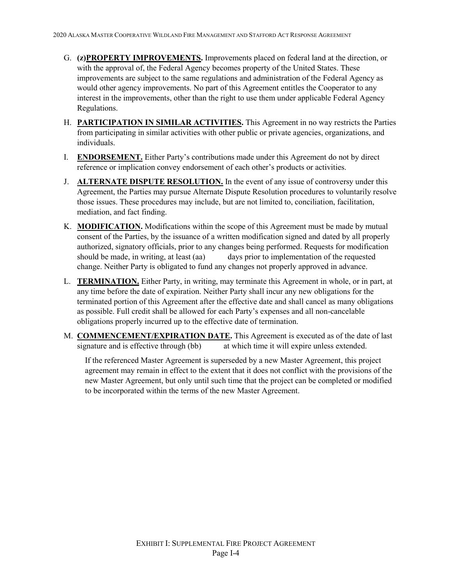- G. **(z)PROPERTY IMPROVEMENTS.** Improvements placed on federal land at the direction, or with the approval of, the Federal Agency becomes property of the United States. These improvements are subject to the same regulations and administration of the Federal Agency as would other agency improvements. No part of this Agreement entitles the Cooperator to any interest in the improvements, other than the right to use them under applicable Federal Agency Regulations.
- H. **PARTICIPATION IN SIMILAR ACTIVITIES.** This Agreement in no way restricts the Parties from participating in similar activities with other public or private agencies, organizations, and individuals.
- I. **ENDORSEMENT.** Either Party's contributions made under this Agreement do not by direct reference or implication convey endorsement of each other's products or activities.
- J. **ALTERNATE DISPUTE RESOLUTION.** In the event of any issue of controversy under this Agreement, the Parties may pursue Alternate Dispute Resolution procedures to voluntarily resolve those issues. These procedures may include, but are not limited to, conciliation, facilitation, mediation, and fact finding.
- K. **MODIFICATION.** Modifications within the scope of this Agreement must be made by mutual consent of the Parties, by the issuance of a written modification signed and dated by all properly authorized, signatory officials, prior to any changes being performed. Requests for modification should be made, in writing, at least (aa) days prior to implementation of the requested change. Neither Party is obligated to fund any changes not properly approved in advance.
- L. **TERMINATION.** Either Party, in writing, may terminate this Agreement in whole, or in part, at any time before the date of expiration. Neither Party shall incur any new obligations for the terminated portion of this Agreement after the effective date and shall cancel as many obligations as possible. Full credit shall be allowed for each Party's expenses and all non-cancelable obligations properly incurred up to the effective date of termination.
- M. **COMMENCEMENT/EXPIRATION DATE.** This Agreement is executed as of the date of last signature and is effective through (bb) at which time it will expire unless extended.

If the referenced Master Agreement is superseded by a new Master Agreement, this project agreement may remain in effect to the extent that it does not conflict with the provisions of the new Master Agreement, but only until such time that the project can be completed or modified to be incorporated within the terms of the new Master Agreement.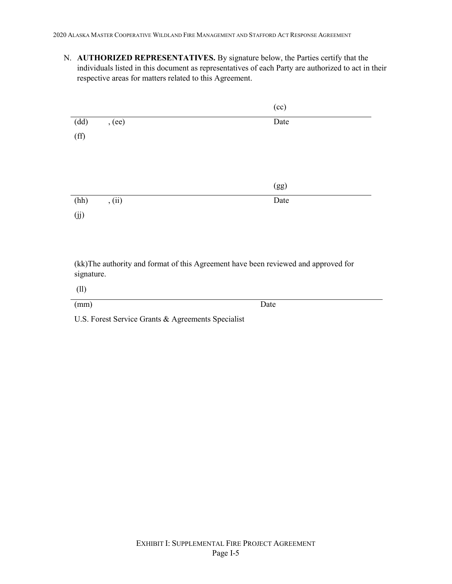N. **AUTHORIZED REPRESENTATIVES.** By signature below, the Parties certify that the individuals listed in this document as representatives of each Party are authorized to act in their respective areas for matters related to this Agreement.

|      |        | (cc) |  |
|------|--------|------|--|
| (dd) | , (ee) | Date |  |
| (ff) |        |      |  |
|      |        |      |  |
|      |        |      |  |
|      |        |      |  |
|      |        | (gg) |  |
| (hh) | , (ii) | Date |  |
| (i)  |        |      |  |

(kk)The authority and format of this Agreement have been reviewed and approved for signature.

(ll)

 $\overline{(mm)}$ 

Date

U.S. Forest Service Grants & Agreements Specialist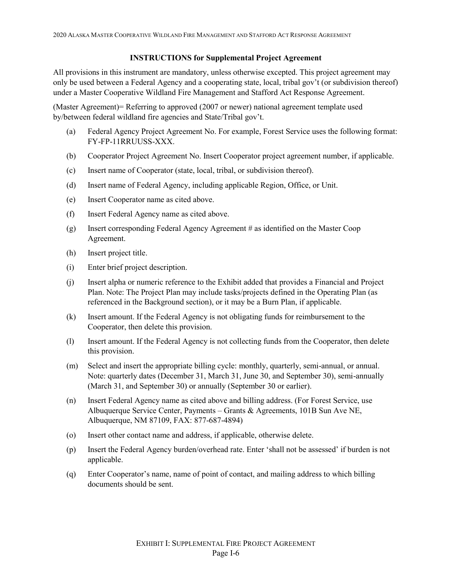#### **INSTRUCTIONS for Supplemental Project Agreement**

All provisions in this instrument are mandatory, unless otherwise excepted. This project agreement may only be used between a Federal Agency and a cooperating state, local, tribal gov't (or subdivision thereof) under a Master Cooperative Wildland Fire Management and Stafford Act Response Agreement.

(Master Agreement)= Referring to approved (2007 or newer) national agreement template used by/between federal wildland fire agencies and State/Tribal gov't.

- (a) Federal Agency Project Agreement No. For example, Forest Service uses the following format: FY-FP-11RRUUSS-XXX.
- (b) Cooperator Project Agreement No. Insert Cooperator project agreement number, if applicable.
- (c) Insert name of Cooperator (state, local, tribal, or subdivision thereof).
- (d) Insert name of Federal Agency, including applicable Region, Office, or Unit.
- (e) Insert Cooperator name as cited above.
- (f) Insert Federal Agency name as cited above.
- (g) Insert corresponding Federal Agency Agreement # as identified on the Master Coop Agreement.
- (h) Insert project title.
- (i) Enter brief project description.
- (j) Insert alpha or numeric reference to the Exhibit added that provides a Financial and Project Plan. Note: The Project Plan may include tasks/projects defined in the Operating Plan (as referenced in the Background section), or it may be a Burn Plan, if applicable.
- (k) Insert amount. If the Federal Agency is not obligating funds for reimbursement to the Cooperator, then delete this provision.
- (l) Insert amount. If the Federal Agency is not collecting funds from the Cooperator, then delete this provision.
- (m) Select and insert the appropriate billing cycle: monthly, quarterly, semi-annual, or annual. Note: quarterly dates (December 31, March 31, June 30, and September 30), semi-annually (March 31, and September 30) or annually (September 30 or earlier).
- (n) Insert Federal Agency name as cited above and billing address. (For Forest Service, use Albuquerque Service Center, Payments – Grants & Agreements, 101B Sun Ave NE, Albuquerque, NM 87109, FAX: 877-687-4894)
- (o) Insert other contact name and address, if applicable, otherwise delete.
- (p) Insert the Federal Agency burden/overhead rate. Enter 'shall not be assessed' if burden is not applicable.
- (q) Enter Cooperator's name, name of point of contact, and mailing address to which billing documents should be sent.